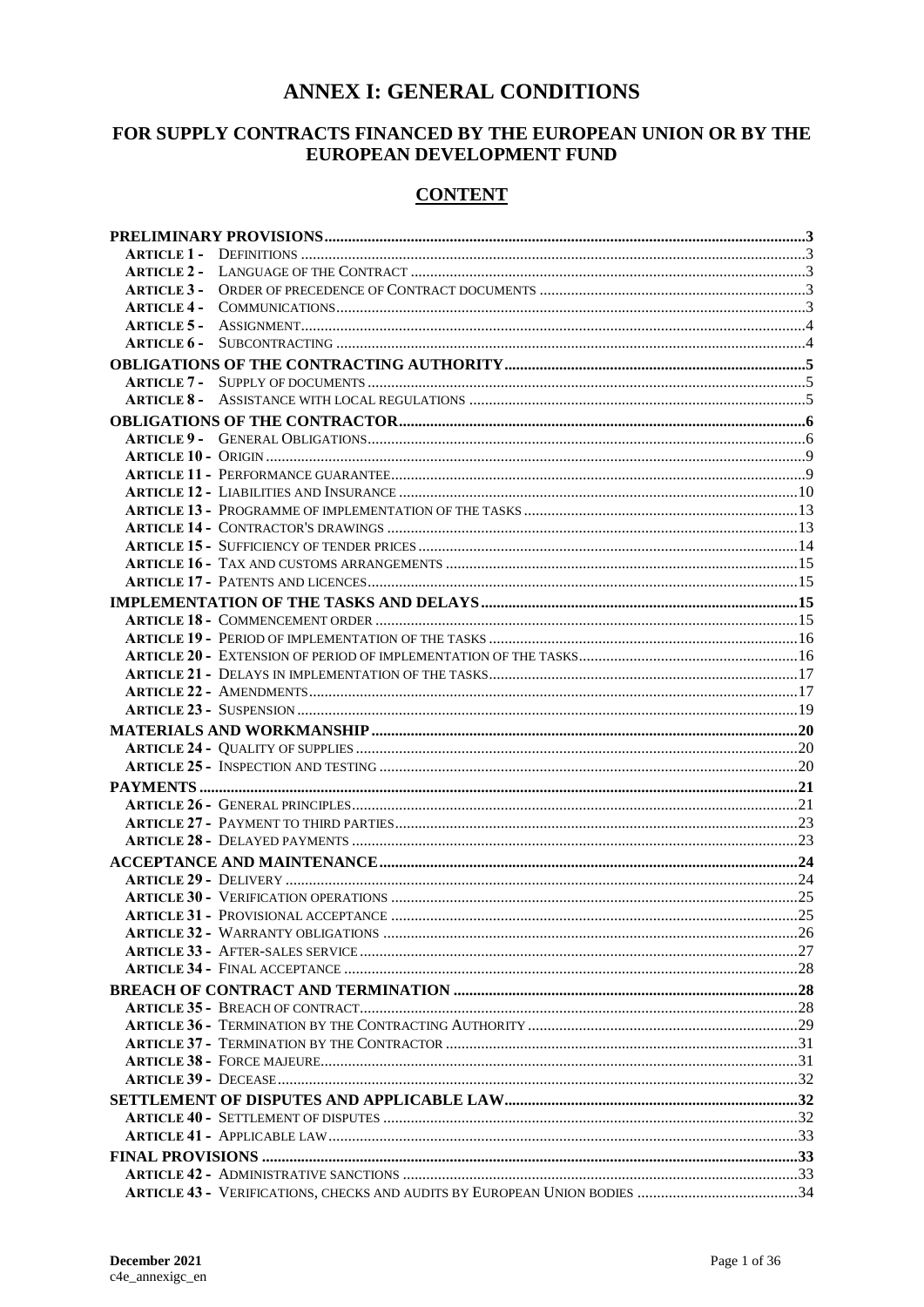# **ANNEX I: GENERAL CONDITIONS**

# FOR SUPPLY CONTRACTS FINANCED BY THE EUROPEAN UNION OR BY THE EUROPEAN DEVELOPMENT FUND

# **CONTENT**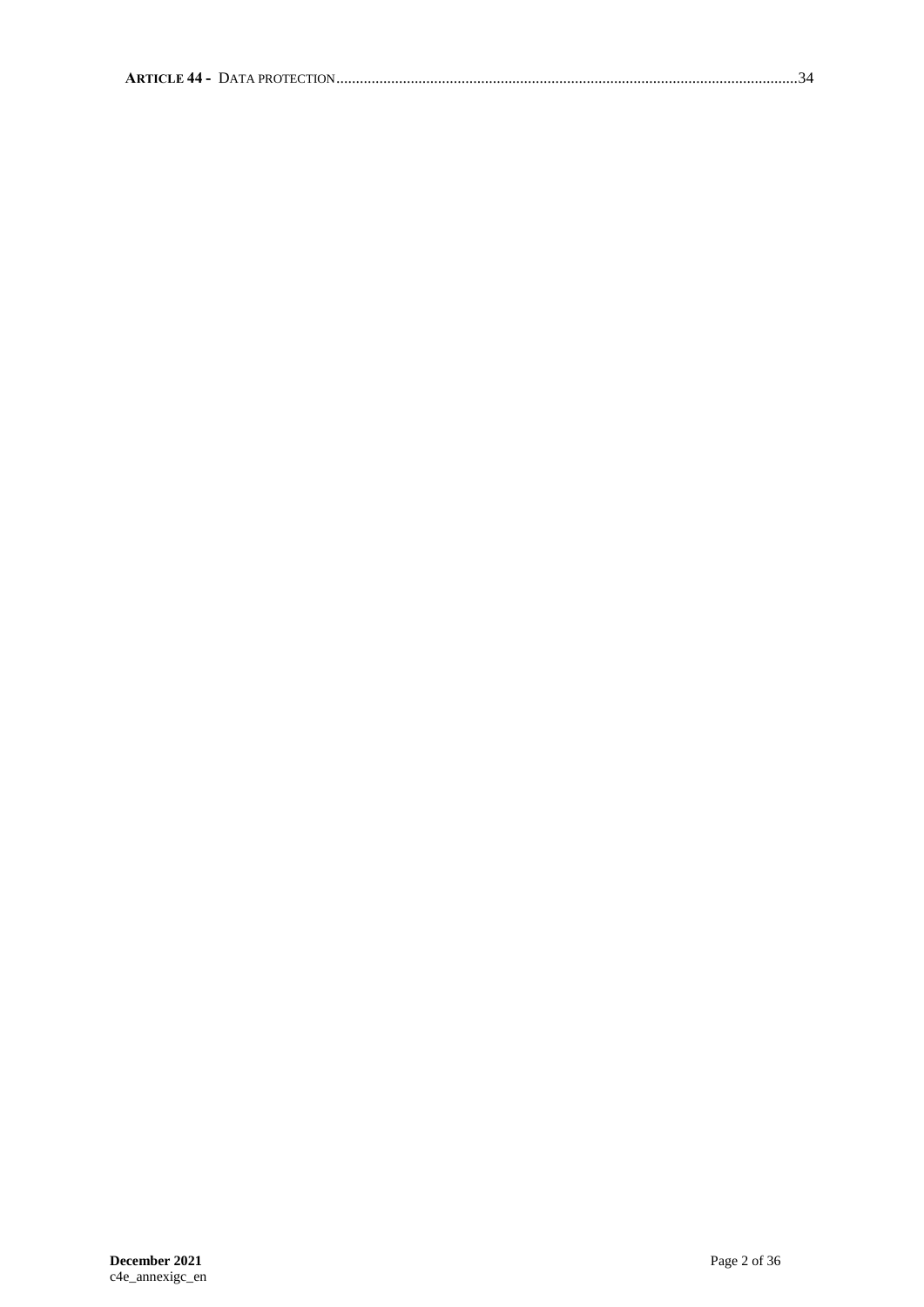|--|--|--|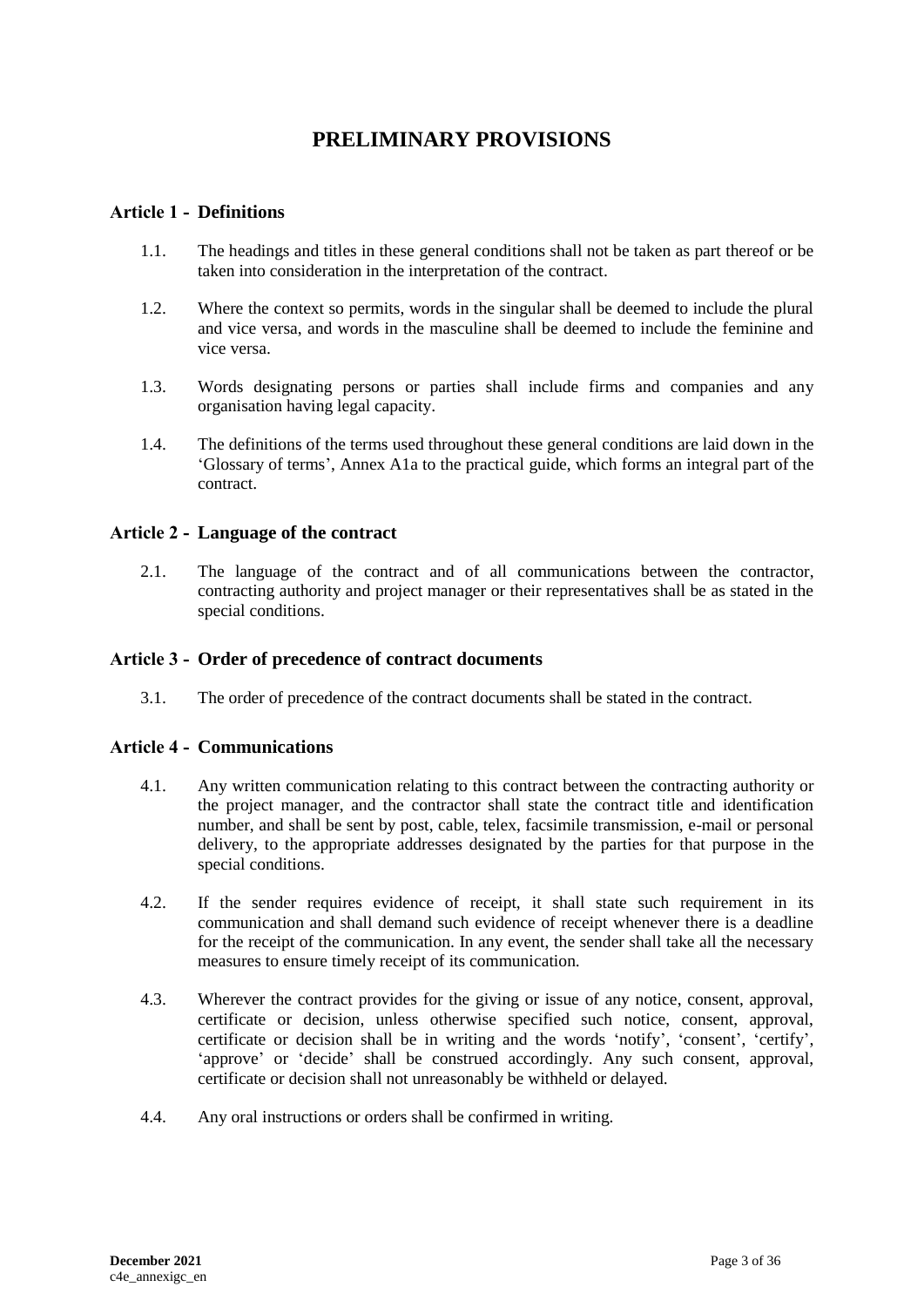# **PRELIMINARY PROVISIONS**

# <span id="page-2-1"></span><span id="page-2-0"></span>**Article 1 - Definitions**

- 1.1. The headings and titles in these general conditions shall not be taken as part thereof or be taken into consideration in the interpretation of the contract.
- 1.2. Where the context so permits, words in the singular shall be deemed to include the plural and vice versa, and words in the masculine shall be deemed to include the feminine and vice versa.
- 1.3. Words designating persons or parties shall include firms and companies and any organisation having legal capacity.
- 1.4. The definitions of the terms used throughout these general conditions are laid down in the 'Glossary of terms', Annex A1a to the practical guide, which forms an integral part of the contract.

### <span id="page-2-2"></span>**Article 2 - Language of the contract**

2.1. The language of the contract and of all communications between the contractor, contracting authority and project manager or their representatives shall be as stated in the special conditions.

### <span id="page-2-3"></span>**Article 3 - Order of precedence of contract documents**

3.1. The order of precedence of the contract documents shall be stated in the contract.

#### <span id="page-2-4"></span>**Article 4 - Communications**

- 4.1. Any written communication relating to this contract between the contracting authority or the project manager, and the contractor shall state the contract title and identification number, and shall be sent by post, cable, telex, facsimile transmission, e-mail or personal delivery, to the appropriate addresses designated by the parties for that purpose in the special conditions.
- 4.2. If the sender requires evidence of receipt, it shall state such requirement in its communication and shall demand such evidence of receipt whenever there is a deadline for the receipt of the communication. In any event, the sender shall take all the necessary measures to ensure timely receipt of its communication.
- 4.3. Wherever the contract provides for the giving or issue of any notice, consent, approval, certificate or decision, unless otherwise specified such notice, consent, approval, certificate or decision shall be in writing and the words 'notify', 'consent', 'certify', 'approve' or 'decide' shall be construed accordingly. Any such consent, approval, certificate or decision shall not unreasonably be withheld or delayed.
- 4.4. Any oral instructions or orders shall be confirmed in writing.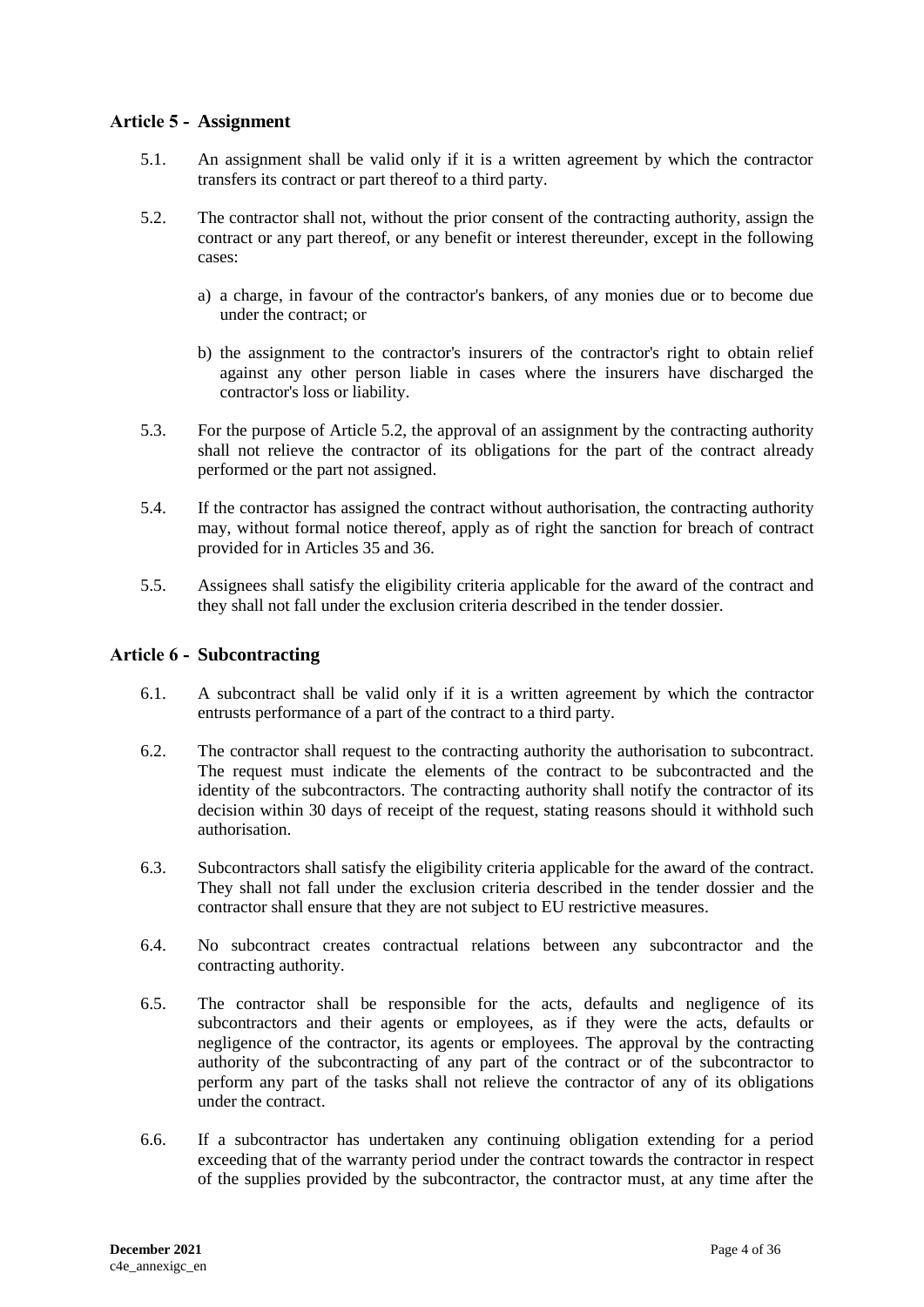# <span id="page-3-0"></span>**Article 5 - Assignment**

- 5.1. An assignment shall be valid only if it is a written agreement by which the contractor transfers its contract or part thereof to a third party.
- 5.2. The contractor shall not, without the prior consent of the contracting authority, assign the contract or any part thereof, or any benefit or interest thereunder, except in the following cases:
	- a) a charge, in favour of the contractor's bankers, of any monies due or to become due under the contract; or
	- b) the assignment to the contractor's insurers of the contractor's right to obtain relief against any other person liable in cases where the insurers have discharged the contractor's loss or liability.
- 5.3. For the purpose of Article 5.2, the approval of an assignment by the contracting authority shall not relieve the contractor of its obligations for the part of the contract already performed or the part not assigned.
- 5.4. If the contractor has assigned the contract without authorisation, the contracting authority may, without formal notice thereof, apply as of right the sanction for breach of contract provided for in Articles 35 and 36.
- 5.5. Assignees shall satisfy the eligibility criteria applicable for the award of the contract and they shall not fall under the exclusion criteria described in the tender dossier.

# <span id="page-3-1"></span>**Article 6 - Subcontracting**

- 6.1. A subcontract shall be valid only if it is a written agreement by which the contractor entrusts performance of a part of the contract to a third party.
- 6.2. The contractor shall request to the contracting authority the authorisation to subcontract. The request must indicate the elements of the contract to be subcontracted and the identity of the subcontractors. The contracting authority shall notify the contractor of its decision within 30 days of receipt of the request, stating reasons should it withhold such authorisation.
- 6.3. Subcontractors shall satisfy the eligibility criteria applicable for the award of the contract. They shall not fall under the exclusion criteria described in the tender dossier and the contractor shall ensure that they are not subject to EU restrictive measures.
- 6.4. No subcontract creates contractual relations between any subcontractor and the contracting authority.
- 6.5. The contractor shall be responsible for the acts, defaults and negligence of its subcontractors and their agents or employees, as if they were the acts, defaults or negligence of the contractor, its agents or employees. The approval by the contracting authority of the subcontracting of any part of the contract or of the subcontractor to perform any part of the tasks shall not relieve the contractor of any of its obligations under the contract.
- 6.6. If a subcontractor has undertaken any continuing obligation extending for a period exceeding that of the warranty period under the contract towards the contractor in respect of the supplies provided by the subcontractor, the contractor must, at any time after the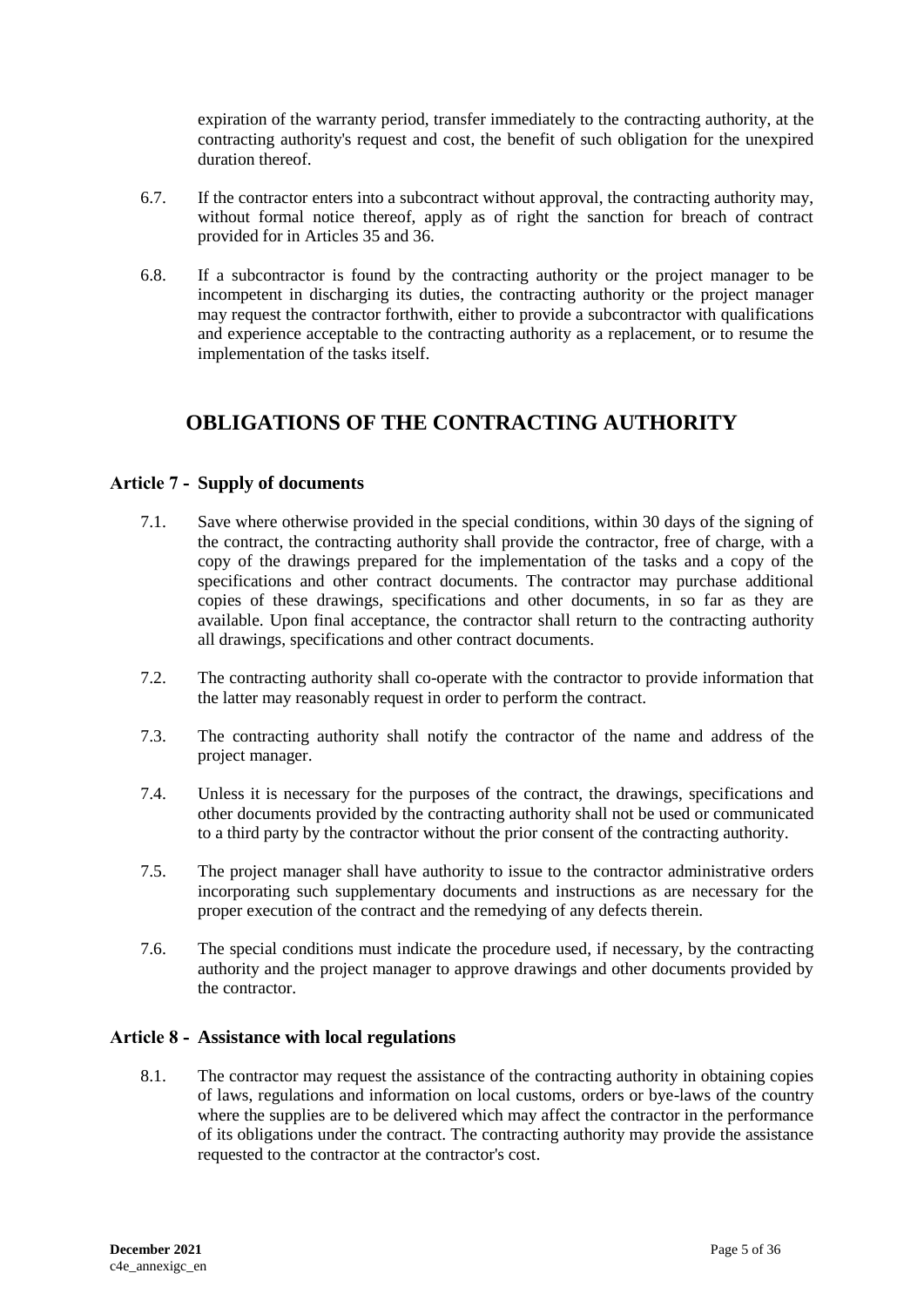expiration of the warranty period, transfer immediately to the contracting authority, at the contracting authority's request and cost, the benefit of such obligation for the unexpired duration thereof.

- 6.7. If the contractor enters into a subcontract without approval, the contracting authority may, without formal notice thereof, apply as of right the sanction for breach of contract provided for in Articles 35 and 36.
- 6.8. If a subcontractor is found by the contracting authority or the project manager to be incompetent in discharging its duties, the contracting authority or the project manager may request the contractor forthwith, either to provide a subcontractor with qualifications and experience acceptable to the contracting authority as a replacement, or to resume the implementation of the tasks itself.

# <span id="page-4-0"></span>**OBLIGATIONS OF THE CONTRACTING AUTHORITY**

# <span id="page-4-1"></span>**Article 7 - Supply of documents**

- 7.1. Save where otherwise provided in the special conditions, within 30 days of the signing of the contract, the contracting authority shall provide the contractor, free of charge, with a copy of the drawings prepared for the implementation of the tasks and a copy of the specifications and other contract documents. The contractor may purchase additional copies of these drawings, specifications and other documents, in so far as they are available. Upon final acceptance, the contractor shall return to the contracting authority all drawings, specifications and other contract documents.
- 7.2. The contracting authority shall co-operate with the contractor to provide information that the latter may reasonably request in order to perform the contract.
- 7.3. The contracting authority shall notify the contractor of the name and address of the project manager.
- 7.4. Unless it is necessary for the purposes of the contract, the drawings, specifications and other documents provided by the contracting authority shall not be used or communicated to a third party by the contractor without the prior consent of the contracting authority.
- 7.5. The project manager shall have authority to issue to the contractor administrative orders incorporating such supplementary documents and instructions as are necessary for the proper execution of the contract and the remedying of any defects therein.
- 7.6. The special conditions must indicate the procedure used, if necessary, by the contracting authority and the project manager to approve drawings and other documents provided by the contractor.

# <span id="page-4-2"></span>**Article 8 - Assistance with local regulations**

8.1. The contractor may request the assistance of the contracting authority in obtaining copies of laws, regulations and information on local customs, orders or bye-laws of the country where the supplies are to be delivered which may affect the contractor in the performance of its obligations under the contract. The contracting authority may provide the assistance requested to the contractor at the contractor's cost.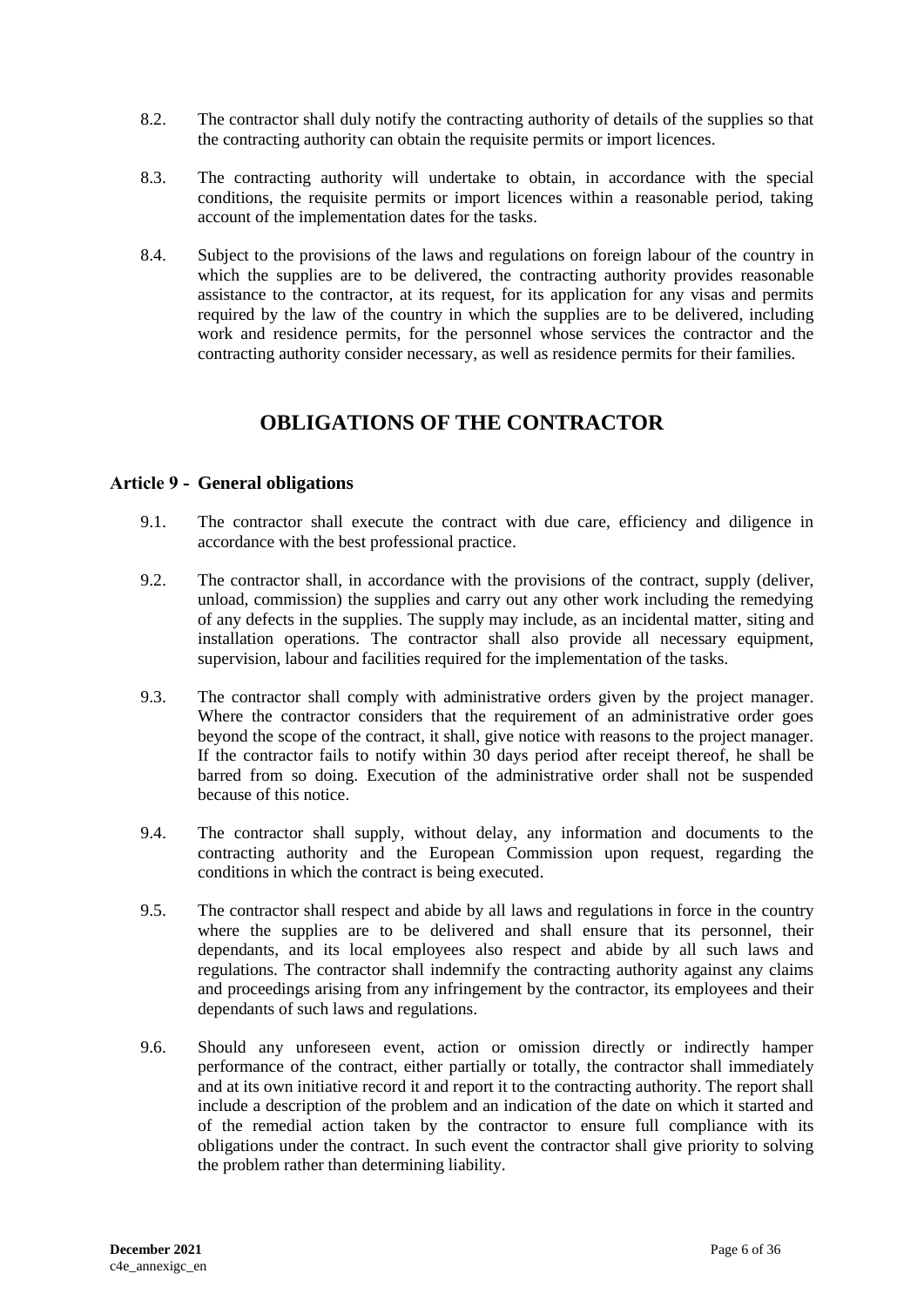- 8.2. The contractor shall duly notify the contracting authority of details of the supplies so that the contracting authority can obtain the requisite permits or import licences.
- 8.3. The contracting authority will undertake to obtain, in accordance with the special conditions, the requisite permits or import licences within a reasonable period, taking account of the implementation dates for the tasks.
- 8.4. Subject to the provisions of the laws and regulations on foreign labour of the country in which the supplies are to be delivered, the contracting authority provides reasonable assistance to the contractor, at its request, for its application for any visas and permits required by the law of the country in which the supplies are to be delivered, including work and residence permits, for the personnel whose services the contractor and the contracting authority consider necessary, as well as residence permits for their families.

# **OBLIGATIONS OF THE CONTRACTOR**

# <span id="page-5-1"></span><span id="page-5-0"></span>**Article 9 - General obligations**

- 9.1. The contractor shall execute the contract with due care, efficiency and diligence in accordance with the best professional practice.
- 9.2. The contractor shall, in accordance with the provisions of the contract, supply (deliver, unload, commission) the supplies and carry out any other work including the remedying of any defects in the supplies. The supply may include, as an incidental matter, siting and installation operations. The contractor shall also provide all necessary equipment, supervision, labour and facilities required for the implementation of the tasks.
- 9.3. The contractor shall comply with administrative orders given by the project manager. Where the contractor considers that the requirement of an administrative order goes beyond the scope of the contract, it shall, give notice with reasons to the project manager. If the contractor fails to notify within 30 days period after receipt thereof, he shall be barred from so doing. Execution of the administrative order shall not be suspended because of this notice.
- 9.4. The contractor shall supply, without delay, any information and documents to the contracting authority and the European Commission upon request, regarding the conditions in which the contract is being executed.
- 9.5. The contractor shall respect and abide by all laws and regulations in force in the country where the supplies are to be delivered and shall ensure that its personnel, their dependants, and its local employees also respect and abide by all such laws and regulations. The contractor shall indemnify the contracting authority against any claims and proceedings arising from any infringement by the contractor, its employees and their dependants of such laws and regulations.
- 9.6. Should any unforeseen event, action or omission directly or indirectly hamper performance of the contract, either partially or totally, the contractor shall immediately and at its own initiative record it and report it to the contracting authority. The report shall include a description of the problem and an indication of the date on which it started and of the remedial action taken by the contractor to ensure full compliance with its obligations under the contract. In such event the contractor shall give priority to solving the problem rather than determining liability.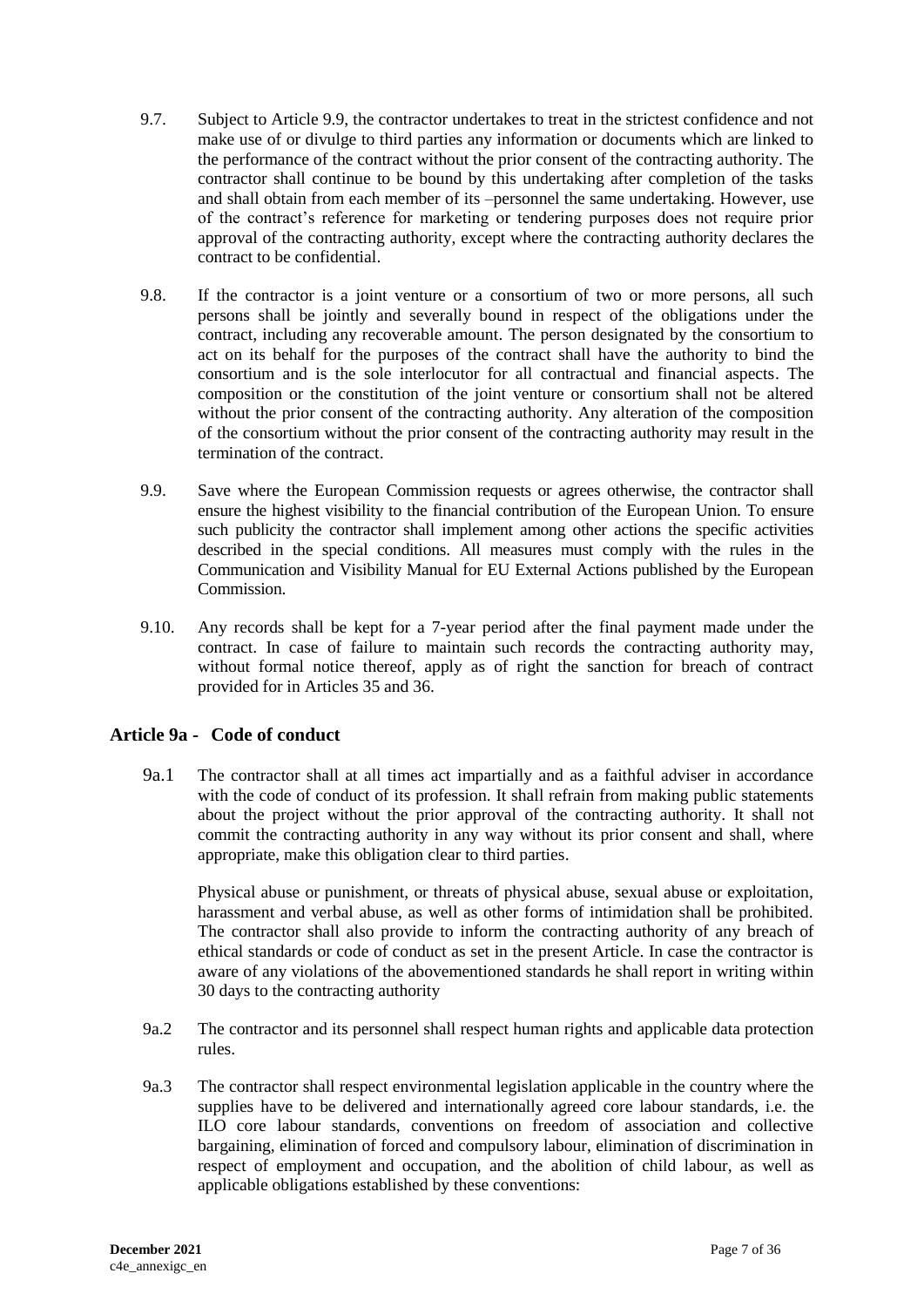- 9.7. Subject to Article 9.9, the contractor undertakes to treat in the strictest confidence and not make use of or divulge to third parties any information or documents which are linked to the performance of the contract without the prior consent of the contracting authority. The contractor shall continue to be bound by this undertaking after completion of the tasks and shall obtain from each member of its –personnel the same undertaking. However, use of the contract's reference for marketing or tendering purposes does not require prior approval of the contracting authority, except where the contracting authority declares the contract to be confidential.
- 9.8. If the contractor is a joint venture or a consortium of two or more persons, all such persons shall be jointly and severally bound in respect of the obligations under the contract, including any recoverable amount. The person designated by the consortium to act on its behalf for the purposes of the contract shall have the authority to bind the consortium and is the sole interlocutor for all contractual and financial aspects. The composition or the constitution of the joint venture or consortium shall not be altered without the prior consent of the contracting authority. Any alteration of the composition of the consortium without the prior consent of the contracting authority may result in the termination of the contract.
- 9.9. Save where the European Commission requests or agrees otherwise, the contractor shall ensure the highest visibility to the financial contribution of the European Union. To ensure such publicity the contractor shall implement among other actions the specific activities described in the special conditions. All measures must comply with the rules in the Communication and Visibility Manual for EU External Actions published by the European **Commission**
- 9.10. Any records shall be kept for a 7-year period after the final payment made under the contract. In case of failure to maintain such records the contracting authority may, without formal notice thereof, apply as of right the sanction for breach of contract provided for in Articles 35 and 36.

# **Article 9a - Code of conduct**

9a.1 The contractor shall at all times act impartially and as a faithful adviser in accordance with the code of conduct of its profession. It shall refrain from making public statements about the project without the prior approval of the contracting authority. It shall not commit the contracting authority in any way without its prior consent and shall, where appropriate, make this obligation clear to third parties.

Physical abuse or punishment, or threats of physical abuse, sexual abuse or exploitation, harassment and verbal abuse, as well as other forms of intimidation shall be prohibited. The contractor shall also provide to inform the contracting authority of any breach of ethical standards or code of conduct as set in the present Article. In case the contractor is aware of any violations of the abovementioned standards he shall report in writing within 30 days to the contracting authority

- 9a.2 The contractor and its personnel shall respect human rights and applicable data protection rules.
- 9a.3 The contractor shall respect environmental legislation applicable in the country where the supplies have to be delivered and internationally agreed core labour standards, i.e. the ILO core labour standards, conventions on freedom of association and collective bargaining, elimination of forced and compulsory labour, elimination of discrimination in respect of employment and occupation, and the abolition of child labour, as well as applicable obligations established by these conventions: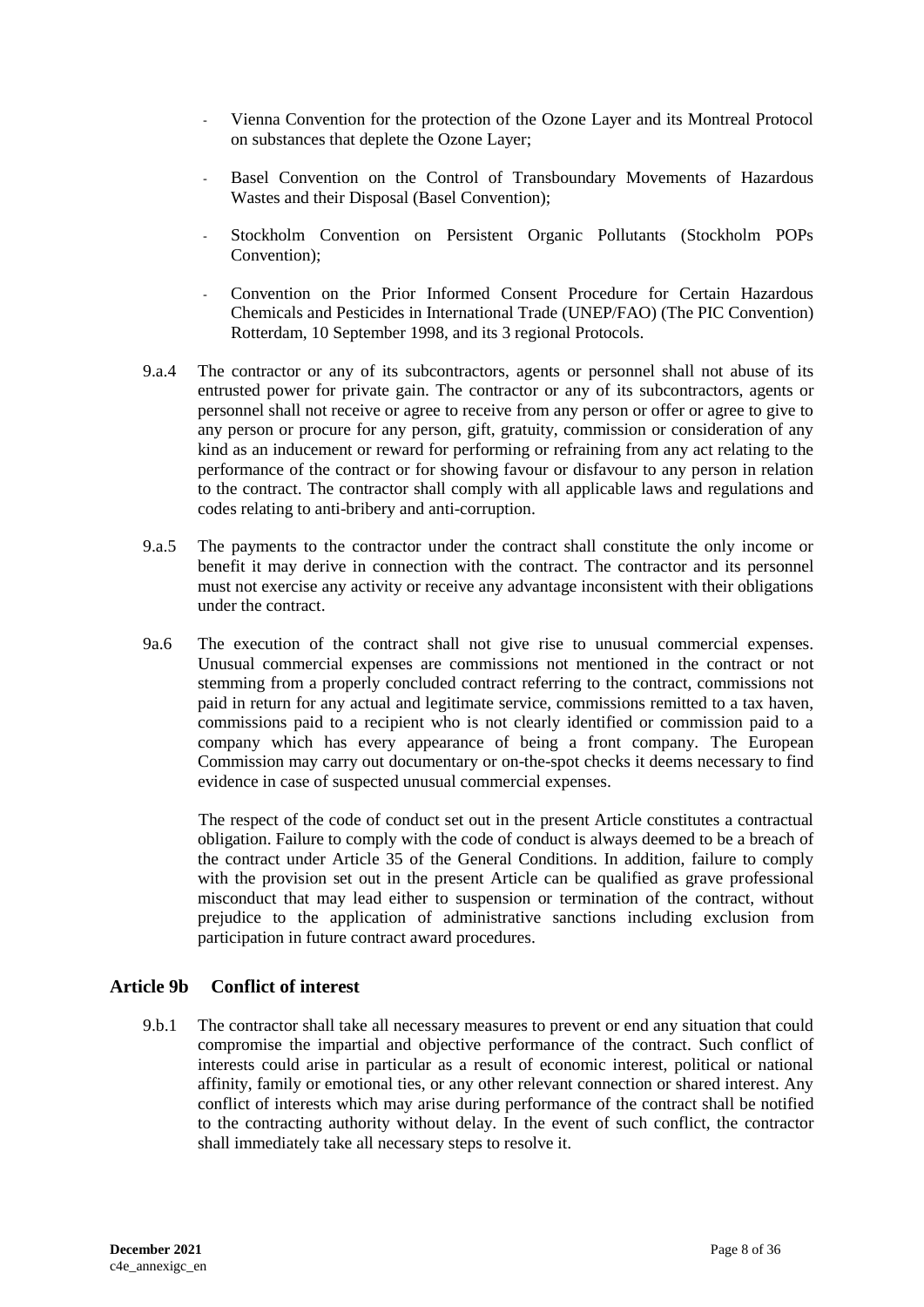- Vienna Convention for the protection of the Ozone Layer and its Montreal Protocol on substances that deplete the Ozone Layer;
- Basel Convention on the Control of Transboundary Movements of Hazardous Wastes and their Disposal (Basel Convention);
- Stockholm Convention on Persistent Organic Pollutants (Stockholm POPs Convention);
- Convention on the Prior Informed Consent Procedure for Certain Hazardous Chemicals and Pesticides in International Trade (UNEP/FAO) (The PIC Convention) Rotterdam, 10 September 1998, and its 3 regional Protocols.
- 9.a.4 The contractor or any of its subcontractors, agents or personnel shall not abuse of its entrusted power for private gain. The contractor or any of its subcontractors, agents or personnel shall not receive or agree to receive from any person or offer or agree to give to any person or procure for any person, gift, gratuity, commission or consideration of any kind as an inducement or reward for performing or refraining from any act relating to the performance of the contract or for showing favour or disfavour to any person in relation to the contract. The contractor shall comply with all applicable laws and regulations and codes relating to anti-bribery and anti-corruption.
- 9.a.5 The payments to the contractor under the contract shall constitute the only income or benefit it may derive in connection with the contract. The contractor and its personnel must not exercise any activity or receive any advantage inconsistent with their obligations under the contract.
- 9a.6 The execution of the contract shall not give rise to unusual commercial expenses. Unusual commercial expenses are commissions not mentioned in the contract or not stemming from a properly concluded contract referring to the contract, commissions not paid in return for any actual and legitimate service, commissions remitted to a tax haven, commissions paid to a recipient who is not clearly identified or commission paid to a company which has every appearance of being a front company. The European Commission may carry out documentary or on-the-spot checks it deems necessary to find evidence in case of suspected unusual commercial expenses.

 The respect of the code of conduct set out in the present Article constitutes a contractual obligation. Failure to comply with the code of conduct is always deemed to be a breach of the contract under Article 35 of the General Conditions. In addition, failure to comply with the provision set out in the present Article can be qualified as grave professional misconduct that may lead either to suspension or termination of the contract, without prejudice to the application of administrative sanctions including exclusion from participation in future contract award procedures.

#### **Article 9b Conflict of interest**

9.b.1 The contractor shall take all necessary measures to prevent or end any situation that could compromise the impartial and objective performance of the contract. Such conflict of interests could arise in particular as a result of economic interest, political or national affinity, family or emotional ties, or any other relevant connection or shared interest. Any conflict of interests which may arise during performance of the contract shall be notified to the contracting authority without delay. In the event of such conflict, the contractor shall immediately take all necessary steps to resolve it.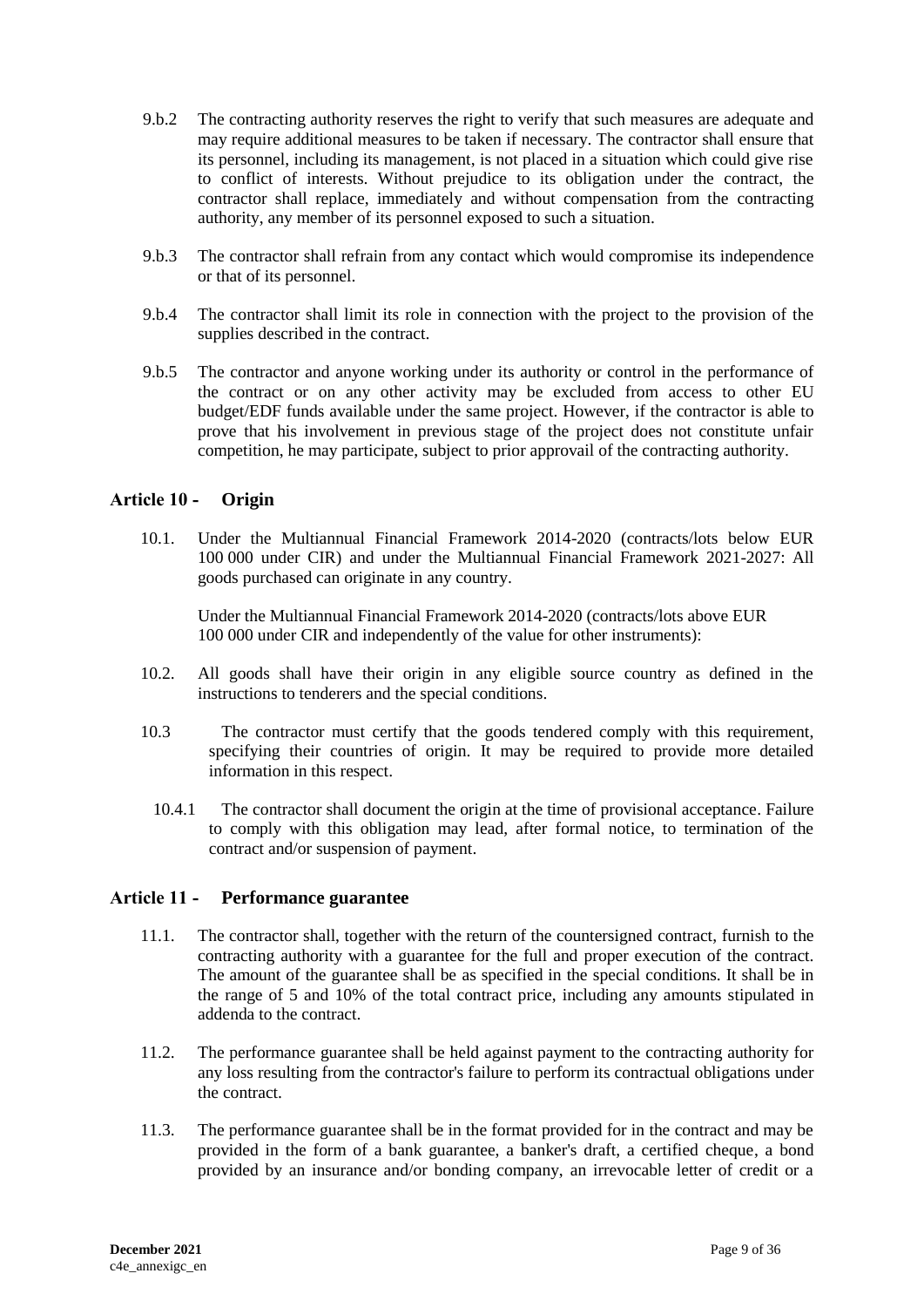- 9.b.2 The contracting authority reserves the right to verify that such measures are adequate and may require additional measures to be taken if necessary. The contractor shall ensure that its personnel, including its management, is not placed in a situation which could give rise to conflict of interests. Without prejudice to its obligation under the contract, the contractor shall replace, immediately and without compensation from the contracting authority, any member of its personnel exposed to such a situation.
- 9.b.3 The contractor shall refrain from any contact which would compromise its independence or that of its personnel.
- 9.b.4 The contractor shall limit its role in connection with the project to the provision of the supplies described in the contract.
- 9.b.5 The contractor and anyone working under its authority or control in the performance of the contract or on any other activity may be excluded from access to other EU budget/EDF funds available under the same project. However, if the contractor is able to prove that his involvement in previous stage of the project does not constitute unfair competition, he may participate, subject to prior approvail of the contracting authority.

### <span id="page-8-0"></span>**Article 10 - Origin**

10.1. Under the Multiannual Financial Framework 2014-2020 (contracts/lots below EUR 100 000 under CIR) and under the Multiannual Financial Framework 2021-2027: All goods purchased can originate in any country.

Under the Multiannual Financial Framework 2014-2020 (contracts/lots above EUR 100 000 under CIR and independently of the value for other instruments):

- 10.2. All goods shall have their origin in any eligible source country as defined in the instructions to tenderers and the special conditions.
- 10.3 The contractor must certify that the goods tendered comply with this requirement, specifying their countries of origin. It may be required to provide more detailed information in this respect.
	- 10.4.1 The contractor shall document the origin at the time of provisional acceptance. Failure to comply with this obligation may lead, after formal notice, to termination of the contract and/or suspension of payment.

#### <span id="page-8-1"></span>**Article 11 - Performance guarantee**

- 11.1. The contractor shall, together with the return of the countersigned contract, furnish to the contracting authority with a guarantee for the full and proper execution of the contract. The amount of the guarantee shall be as specified in the special conditions. It shall be in the range of 5 and 10% of the total contract price, including any amounts stipulated in addenda to the contract.
- 11.2. The performance guarantee shall be held against payment to the contracting authority for any loss resulting from the contractor's failure to perform its contractual obligations under the contract.
- 11.3. The performance guarantee shall be in the format provided for in the contract and may be provided in the form of a bank guarantee, a banker's draft, a certified cheque, a bond provided by an insurance and/or bonding company, an irrevocable letter of credit or a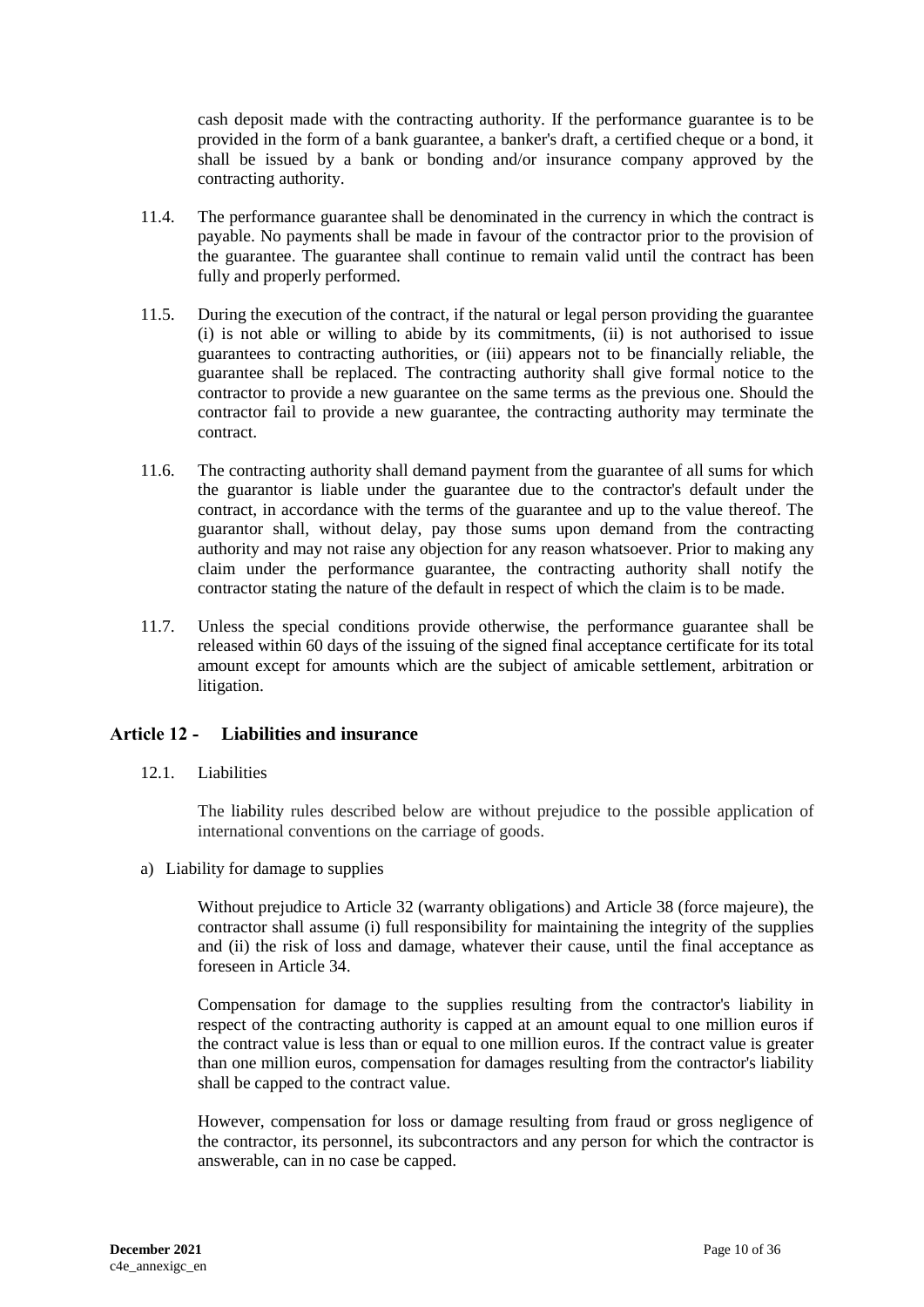cash deposit made with the contracting authority. If the performance guarantee is to be provided in the form of a bank guarantee, a banker's draft, a certified cheque or a bond, it shall be issued by a bank or bonding and/or insurance company approved by the contracting authority.

- 11.4. The performance guarantee shall be denominated in the currency in which the contract is payable. No payments shall be made in favour of the contractor prior to the provision of the guarantee. The guarantee shall continue to remain valid until the contract has been fully and properly performed.
- 11.5. During the execution of the contract, if the natural or legal person providing the guarantee (i) is not able or willing to abide by its commitments, (ii) is not authorised to issue guarantees to contracting authorities, or (iii) appears not to be financially reliable, the guarantee shall be replaced. The contracting authority shall give formal notice to the contractor to provide a new guarantee on the same terms as the previous one. Should the contractor fail to provide a new guarantee, the contracting authority may terminate the contract.
- 11.6. The contracting authority shall demand payment from the guarantee of all sums for which the guarantor is liable under the guarantee due to the contractor's default under the contract, in accordance with the terms of the guarantee and up to the value thereof. The guarantor shall, without delay, pay those sums upon demand from the contracting authority and may not raise any objection for any reason whatsoever. Prior to making any claim under the performance guarantee, the contracting authority shall notify the contractor stating the nature of the default in respect of which the claim is to be made.
- 11.7. Unless the special conditions provide otherwise, the performance guarantee shall be released within 60 days of the issuing of the signed final acceptance certificate for its total amount except for amounts which are the subject of amicable settlement, arbitration or litigation.

# <span id="page-9-0"></span>**Article 12 - Liabilities and insurance**

12.1. Liabilities

The liability rules described below are without prejudice to the possible application of international conventions on the carriage of goods.

a) Liability for damage to supplies

Without prejudice to Article 32 (warranty obligations) and Article 38 (force majeure), the contractor shall assume (i) full responsibility for maintaining the integrity of the supplies and (ii) the risk of loss and damage, whatever their cause, until the final acceptance as foreseen in Article 34.

Compensation for damage to the supplies resulting from the contractor's liability in respect of the contracting authority is capped at an amount equal to one million euros if the contract value is less than or equal to one million euros. If the contract value is greater than one million euros, compensation for damages resulting from the contractor's liability shall be capped to the contract value.

However, compensation for loss or damage resulting from fraud or gross negligence of the contractor, its personnel, its subcontractors and any person for which the contractor is answerable, can in no case be capped.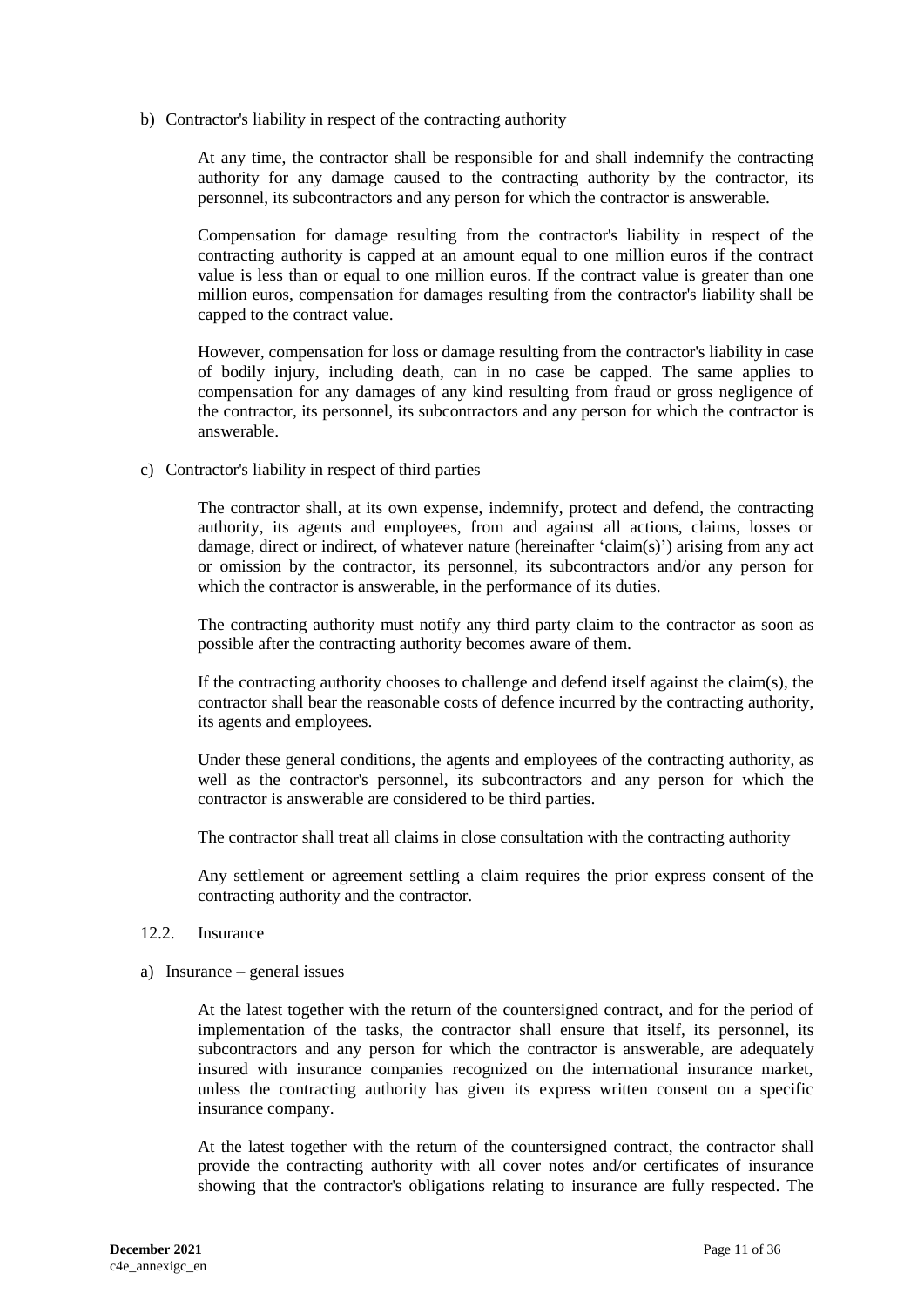b) Contractor's liability in respect of the contracting authority

At any time, the contractor shall be responsible for and shall indemnify the contracting authority for any damage caused to the contracting authority by the contractor, its personnel, its subcontractors and any person for which the contractor is answerable.

Compensation for damage resulting from the contractor's liability in respect of the contracting authority is capped at an amount equal to one million euros if the contract value is less than or equal to one million euros. If the contract value is greater than one million euros, compensation for damages resulting from the contractor's liability shall be capped to the contract value.

However, compensation for loss or damage resulting from the contractor's liability in case of bodily injury, including death, can in no case be capped. The same applies to compensation for any damages of any kind resulting from fraud or gross negligence of the contractor, its personnel, its subcontractors and any person for which the contractor is answerable.

c) Contractor's liability in respect of third parties

The contractor shall, at its own expense, indemnify, protect and defend, the contracting authority, its agents and employees, from and against all actions, claims, losses or damage, direct or indirect, of whatever nature (hereinafter 'claim(s)') arising from any act or omission by the contractor, its personnel, its subcontractors and/or any person for which the contractor is answerable, in the performance of its duties.

The contracting authority must notify any third party claim to the contractor as soon as possible after the contracting authority becomes aware of them.

If the contracting authority chooses to challenge and defend itself against the claim(s), the contractor shall bear the reasonable costs of defence incurred by the contracting authority, its agents and employees.

Under these general conditions, the agents and employees of the contracting authority, as well as the contractor's personnel, its subcontractors and any person for which the contractor is answerable are considered to be third parties.

The contractor shall treat all claims in close consultation with the contracting authority

Any settlement or agreement settling a claim requires the prior express consent of the contracting authority and the contractor.

#### 12.2. Insurance

a) Insurance – general issues

At the latest together with the return of the countersigned contract, and for the period of implementation of the tasks, the contractor shall ensure that itself, its personnel, its subcontractors and any person for which the contractor is answerable, are adequately insured with insurance companies recognized on the international insurance market, unless the contracting authority has given its express written consent on a specific insurance company.

At the latest together with the return of the countersigned contract, the contractor shall provide the contracting authority with all cover notes and/or certificates of insurance showing that the contractor's obligations relating to insurance are fully respected. The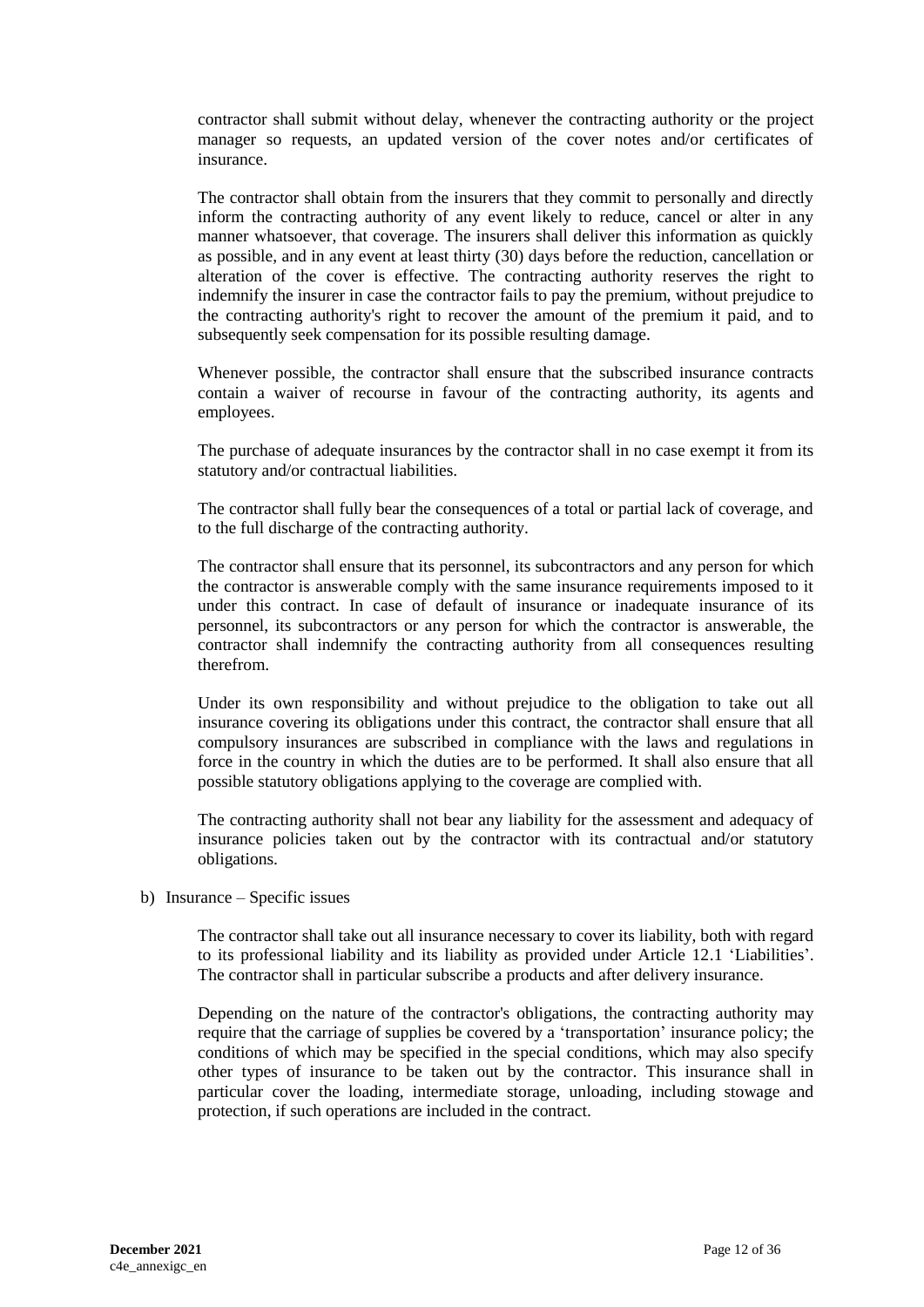contractor shall submit without delay, whenever the contracting authority or the project manager so requests, an updated version of the cover notes and/or certificates of insurance.

The contractor shall obtain from the insurers that they commit to personally and directly inform the contracting authority of any event likely to reduce, cancel or alter in any manner whatsoever, that coverage. The insurers shall deliver this information as quickly as possible, and in any event at least thirty (30) days before the reduction, cancellation or alteration of the cover is effective. The contracting authority reserves the right to indemnify the insurer in case the contractor fails to pay the premium, without prejudice to the contracting authority's right to recover the amount of the premium it paid, and to subsequently seek compensation for its possible resulting damage.

Whenever possible, the contractor shall ensure that the subscribed insurance contracts contain a waiver of recourse in favour of the contracting authority, its agents and employees.

The purchase of adequate insurances by the contractor shall in no case exempt it from its statutory and/or contractual liabilities.

The contractor shall fully bear the consequences of a total or partial lack of coverage, and to the full discharge of the contracting authority.

The contractor shall ensure that its personnel, its subcontractors and any person for which the contractor is answerable comply with the same insurance requirements imposed to it under this contract. In case of default of insurance or inadequate insurance of its personnel, its subcontractors or any person for which the contractor is answerable, the contractor shall indemnify the contracting authority from all consequences resulting therefrom.

Under its own responsibility and without prejudice to the obligation to take out all insurance covering its obligations under this contract, the contractor shall ensure that all compulsory insurances are subscribed in compliance with the laws and regulations in force in the country in which the duties are to be performed. It shall also ensure that all possible statutory obligations applying to the coverage are complied with.

The contracting authority shall not bear any liability for the assessment and adequacy of insurance policies taken out by the contractor with its contractual and/or statutory obligations.

b) Insurance – Specific issues

The contractor shall take out all insurance necessary to cover its liability, both with regard to its professional liability and its liability as provided under Article 12.1 'Liabilities'. The contractor shall in particular subscribe a products and after delivery insurance.

Depending on the nature of the contractor's obligations, the contracting authority may require that the carriage of supplies be covered by a 'transportation' insurance policy; the conditions of which may be specified in the special conditions, which may also specify other types of insurance to be taken out by the contractor. This insurance shall in particular cover the loading, intermediate storage, unloading, including stowage and protection, if such operations are included in the contract.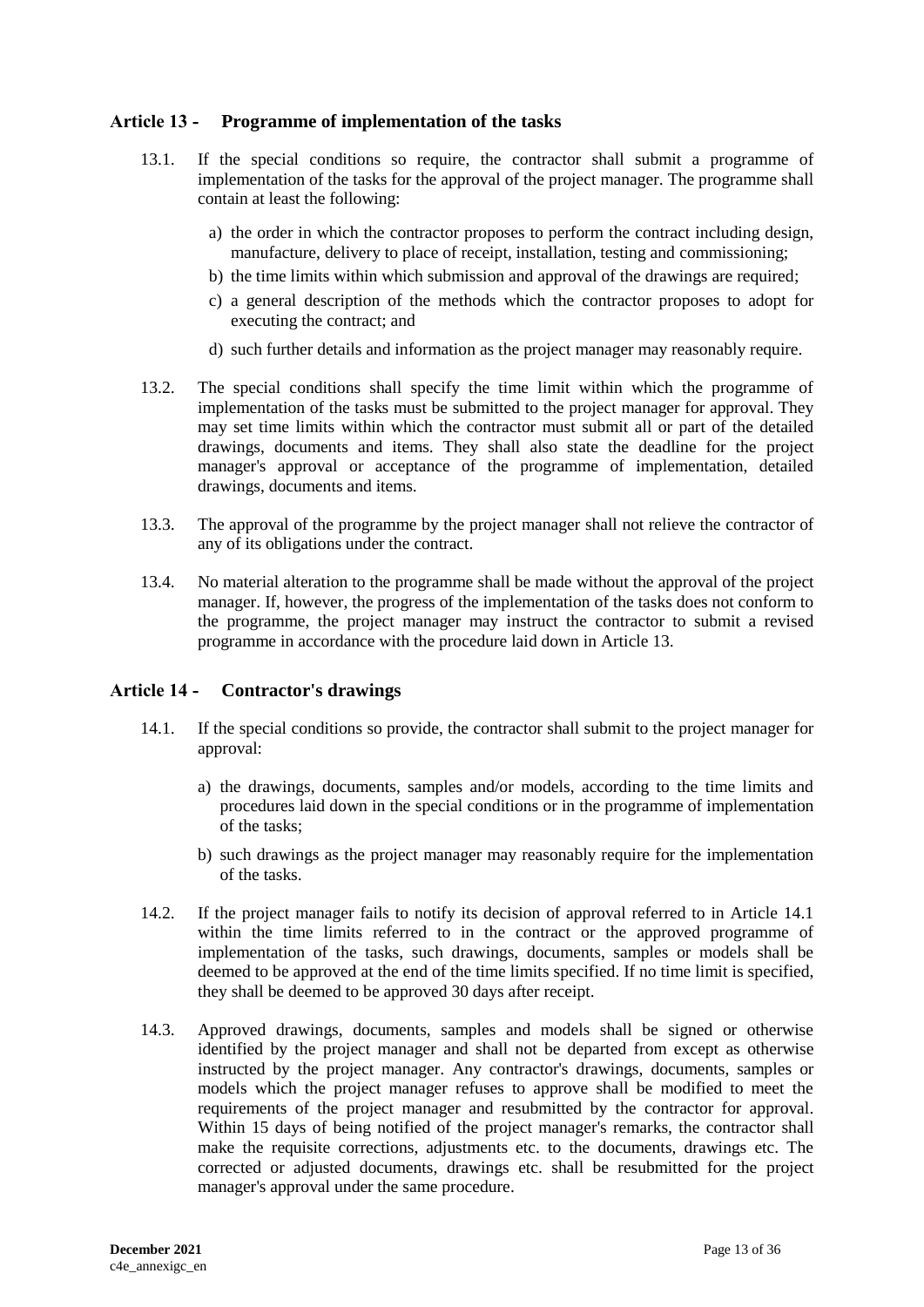# <span id="page-12-0"></span>**Article 13 - Programme of implementation of the tasks**

- 13.1. If the special conditions so require, the contractor shall submit a programme of implementation of the tasks for the approval of the project manager. The programme shall contain at least the following:
	- a) the order in which the contractor proposes to perform the contract including design, manufacture, delivery to place of receipt, installation, testing and commissioning;
	- b) the time limits within which submission and approval of the drawings are required;
	- c) a general description of the methods which the contractor proposes to adopt for executing the contract; and
	- d) such further details and information as the project manager may reasonably require.
- 13.2. The special conditions shall specify the time limit within which the programme of implementation of the tasks must be submitted to the project manager for approval. They may set time limits within which the contractor must submit all or part of the detailed drawings, documents and items. They shall also state the deadline for the project manager's approval or acceptance of the programme of implementation, detailed drawings, documents and items.
- 13.3. The approval of the programme by the project manager shall not relieve the contractor of any of its obligations under the contract.
- 13.4. No material alteration to the programme shall be made without the approval of the project manager. If, however, the progress of the implementation of the tasks does not conform to the programme, the project manager may instruct the contractor to submit a revised programme in accordance with the procedure laid down in Article 13.

# <span id="page-12-1"></span>**Article 14 - Contractor's drawings**

- 14.1. If the special conditions so provide, the contractor shall submit to the project manager for approval:
	- a) the drawings, documents, samples and/or models, according to the time limits and procedures laid down in the special conditions or in the programme of implementation of the tasks;
	- b) such drawings as the project manager may reasonably require for the implementation of the tasks.
- 14.2. If the project manager fails to notify its decision of approval referred to in Article 14.1 within the time limits referred to in the contract or the approved programme of implementation of the tasks, such drawings, documents, samples or models shall be deemed to be approved at the end of the time limits specified. If no time limit is specified, they shall be deemed to be approved 30 days after receipt.
- 14.3. Approved drawings, documents, samples and models shall be signed or otherwise identified by the project manager and shall not be departed from except as otherwise instructed by the project manager. Any contractor's drawings, documents, samples or models which the project manager refuses to approve shall be modified to meet the requirements of the project manager and resubmitted by the contractor for approval. Within 15 days of being notified of the project manager's remarks, the contractor shall make the requisite corrections, adjustments etc. to the documents, drawings etc. The corrected or adjusted documents, drawings etc. shall be resubmitted for the project manager's approval under the same procedure.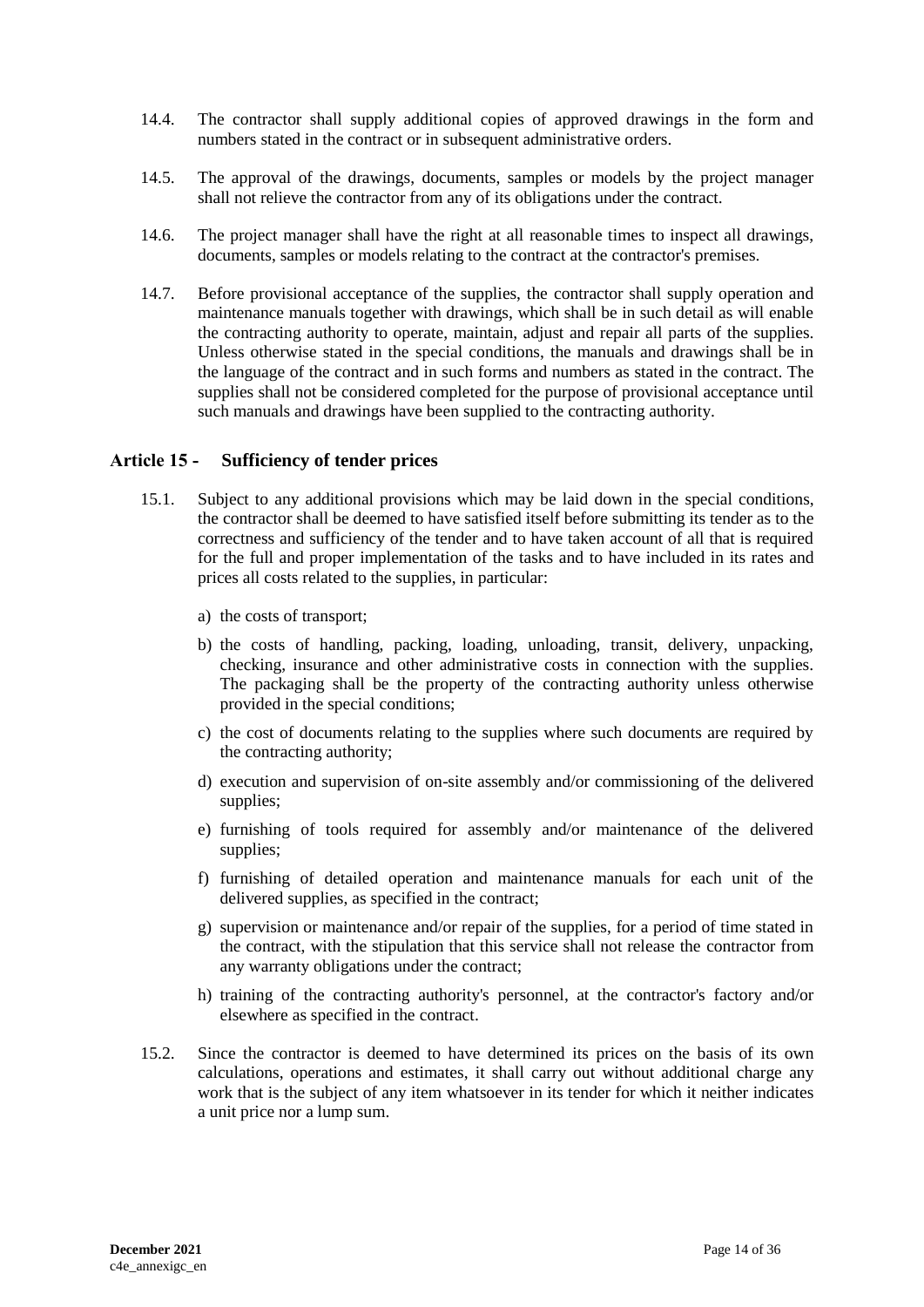- 14.4. The contractor shall supply additional copies of approved drawings in the form and numbers stated in the contract or in subsequent administrative orders.
- 14.5. The approval of the drawings, documents, samples or models by the project manager shall not relieve the contractor from any of its obligations under the contract.
- 14.6. The project manager shall have the right at all reasonable times to inspect all drawings, documents, samples or models relating to the contract at the contractor's premises.
- 14.7. Before provisional acceptance of the supplies, the contractor shall supply operation and maintenance manuals together with drawings, which shall be in such detail as will enable the contracting authority to operate, maintain, adjust and repair all parts of the supplies. Unless otherwise stated in the special conditions, the manuals and drawings shall be in the language of the contract and in such forms and numbers as stated in the contract. The supplies shall not be considered completed for the purpose of provisional acceptance until such manuals and drawings have been supplied to the contracting authority.

### <span id="page-13-0"></span>**Article 15 - Sufficiency of tender prices**

- 15.1. Subject to any additional provisions which may be laid down in the special conditions, the contractor shall be deemed to have satisfied itself before submitting its tender as to the correctness and sufficiency of the tender and to have taken account of all that is required for the full and proper implementation of the tasks and to have included in its rates and prices all costs related to the supplies, in particular:
	- a) the costs of transport;
	- b) the costs of handling, packing, loading, unloading, transit, delivery, unpacking, checking, insurance and other administrative costs in connection with the supplies. The packaging shall be the property of the contracting authority unless otherwise provided in the special conditions;
	- c) the cost of documents relating to the supplies where such documents are required by the contracting authority;
	- d) execution and supervision of on-site assembly and/or commissioning of the delivered supplies;
	- e) furnishing of tools required for assembly and/or maintenance of the delivered supplies;
	- f) furnishing of detailed operation and maintenance manuals for each unit of the delivered supplies, as specified in the contract;
	- g) supervision or maintenance and/or repair of the supplies, for a period of time stated in the contract, with the stipulation that this service shall not release the contractor from any warranty obligations under the contract;
	- h) training of the contracting authority's personnel, at the contractor's factory and/or elsewhere as specified in the contract.
- 15.2. Since the contractor is deemed to have determined its prices on the basis of its own calculations, operations and estimates, it shall carry out without additional charge any work that is the subject of any item whatsoever in its tender for which it neither indicates a unit price nor a lump sum.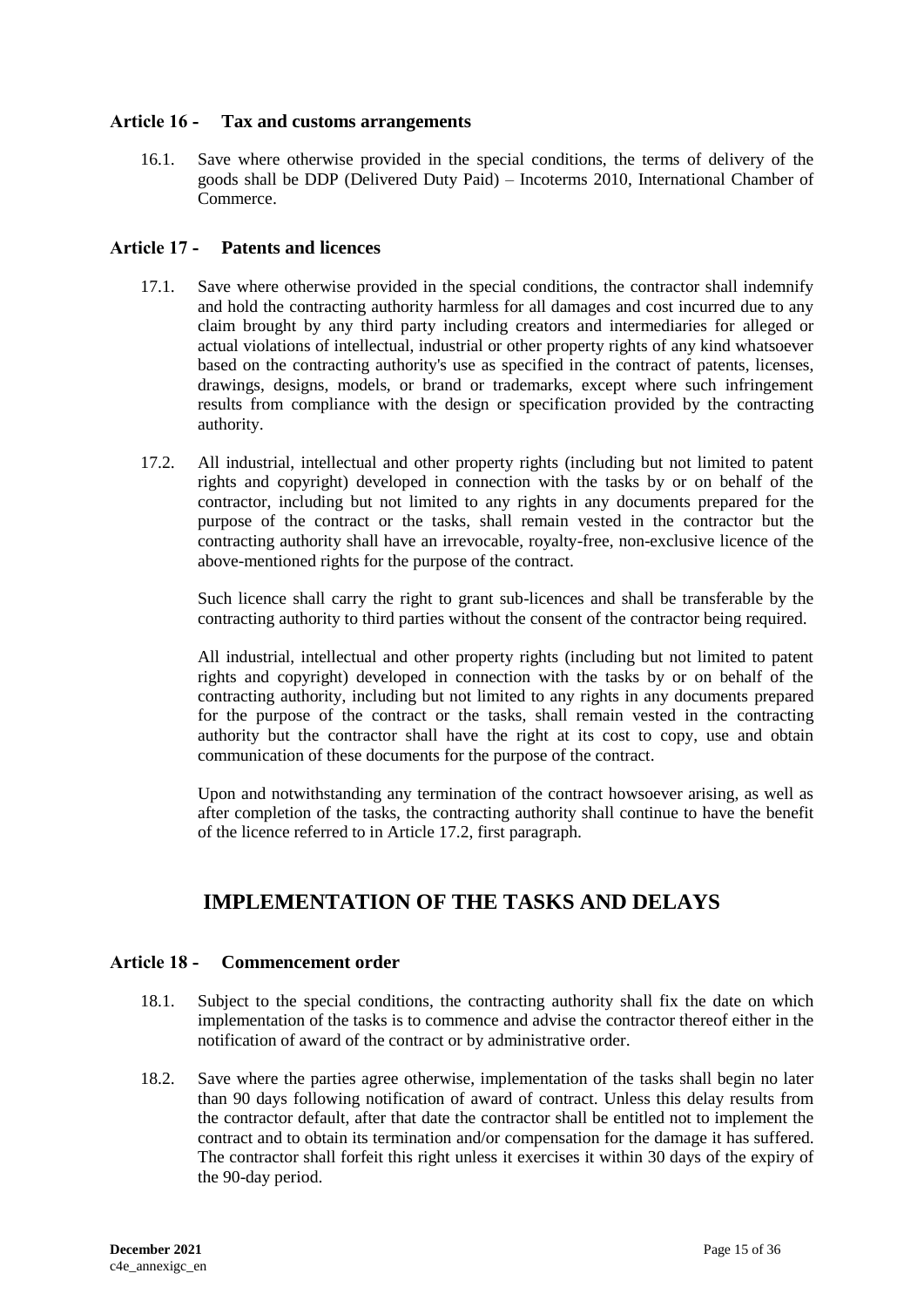# <span id="page-14-0"></span>**Article 16 - Tax and customs arrangements**

16.1. Save where otherwise provided in the special conditions, the terms of delivery of the goods shall be DDP (Delivered Duty Paid) – Incoterms 2010, International Chamber of Commerce.

# <span id="page-14-1"></span>**Article 17 - Patents and licences**

- 17.1. Save where otherwise provided in the special conditions, the contractor shall indemnify and hold the contracting authority harmless for all damages and cost incurred due to any claim brought by any third party including creators and intermediaries for alleged or actual violations of intellectual, industrial or other property rights of any kind whatsoever based on the contracting authority's use as specified in the contract of patents, licenses, drawings, designs, models, or brand or trademarks, except where such infringement results from compliance with the design or specification provided by the contracting authority.
- 17.2. All industrial, intellectual and other property rights (including but not limited to patent rights and copyright) developed in connection with the tasks by or on behalf of the contractor, including but not limited to any rights in any documents prepared for the purpose of the contract or the tasks, shall remain vested in the contractor but the contracting authority shall have an irrevocable, royalty-free, non-exclusive licence of the above-mentioned rights for the purpose of the contract.

Such licence shall carry the right to grant sub-licences and shall be transferable by the contracting authority to third parties without the consent of the contractor being required.

All industrial, intellectual and other property rights (including but not limited to patent rights and copyright) developed in connection with the tasks by or on behalf of the contracting authority, including but not limited to any rights in any documents prepared for the purpose of the contract or the tasks, shall remain vested in the contracting authority but the contractor shall have the right at its cost to copy, use and obtain communication of these documents for the purpose of the contract.

Upon and notwithstanding any termination of the contract howsoever arising, as well as after completion of the tasks, the contracting authority shall continue to have the benefit of the licence referred to in Article 17.2, first paragraph.

# **IMPLEMENTATION OF THE TASKS AND DELAYS**

# <span id="page-14-3"></span><span id="page-14-2"></span>**Article 18 - Commencement order**

- 18.1. Subject to the special conditions, the contracting authority shall fix the date on which implementation of the tasks is to commence and advise the contractor thereof either in the notification of award of the contract or by administrative order.
- 18.2. Save where the parties agree otherwise, implementation of the tasks shall begin no later than 90 days following notification of award of contract. Unless this delay results from the contractor default, after that date the contractor shall be entitled not to implement the contract and to obtain its termination and/or compensation for the damage it has suffered. The contractor shall forfeit this right unless it exercises it within 30 days of the expiry of the 90-day period.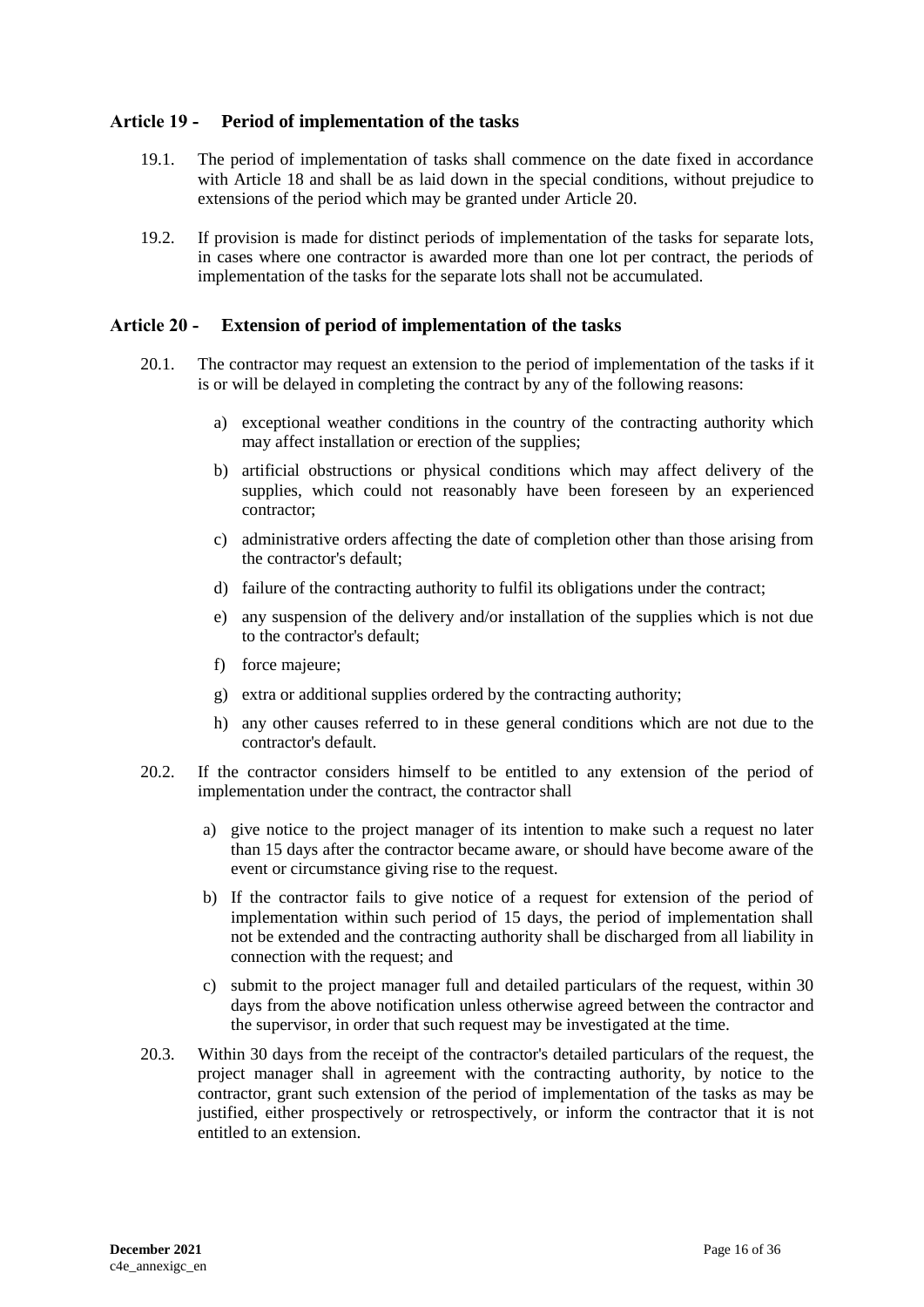# <span id="page-15-0"></span>**Article 19 - Period of implementation of the tasks**

- 19.1. The period of implementation of tasks shall commence on the date fixed in accordance with Article 18 and shall be as laid down in the special conditions, without prejudice to extensions of the period which may be granted under Article 20.
- 19.2. If provision is made for distinct periods of implementation of the tasks for separate lots, in cases where one contractor is awarded more than one lot per contract, the periods of implementation of the tasks for the separate lots shall not be accumulated.

### <span id="page-15-1"></span>**Article 20 - Extension of period of implementation of the tasks**

- 20.1. The contractor may request an extension to the period of implementation of the tasks if it is or will be delayed in completing the contract by any of the following reasons:
	- a) exceptional weather conditions in the country of the contracting authority which may affect installation or erection of the supplies;
	- b) artificial obstructions or physical conditions which may affect delivery of the supplies, which could not reasonably have been foreseen by an experienced contractor;
	- c) administrative orders affecting the date of completion other than those arising from the contractor's default;
	- d) failure of the contracting authority to fulfil its obligations under the contract;
	- e) any suspension of the delivery and/or installation of the supplies which is not due to the contractor's default;
	- f) force majeure;
	- g) extra or additional supplies ordered by the contracting authority;
	- h) any other causes referred to in these general conditions which are not due to the contractor's default.
- 20.2. If the contractor considers himself to be entitled to any extension of the period of implementation under the contract, the contractor shall
	- a) give notice to the project manager of its intention to make such a request no later than 15 days after the contractor became aware, or should have become aware of the event or circumstance giving rise to the request.
	- b) If the contractor fails to give notice of a request for extension of the period of implementation within such period of 15 days, the period of implementation shall not be extended and the contracting authority shall be discharged from all liability in connection with the request; and
	- c) submit to the project manager full and detailed particulars of the request, within 30 days from the above notification unless otherwise agreed between the contractor and the supervisor, in order that such request may be investigated at the time.
- 20.3. Within 30 days from the receipt of the contractor's detailed particulars of the request, the project manager shall in agreement with the contracting authority, by notice to the contractor, grant such extension of the period of implementation of the tasks as may be justified, either prospectively or retrospectively, or inform the contractor that it is not entitled to an extension.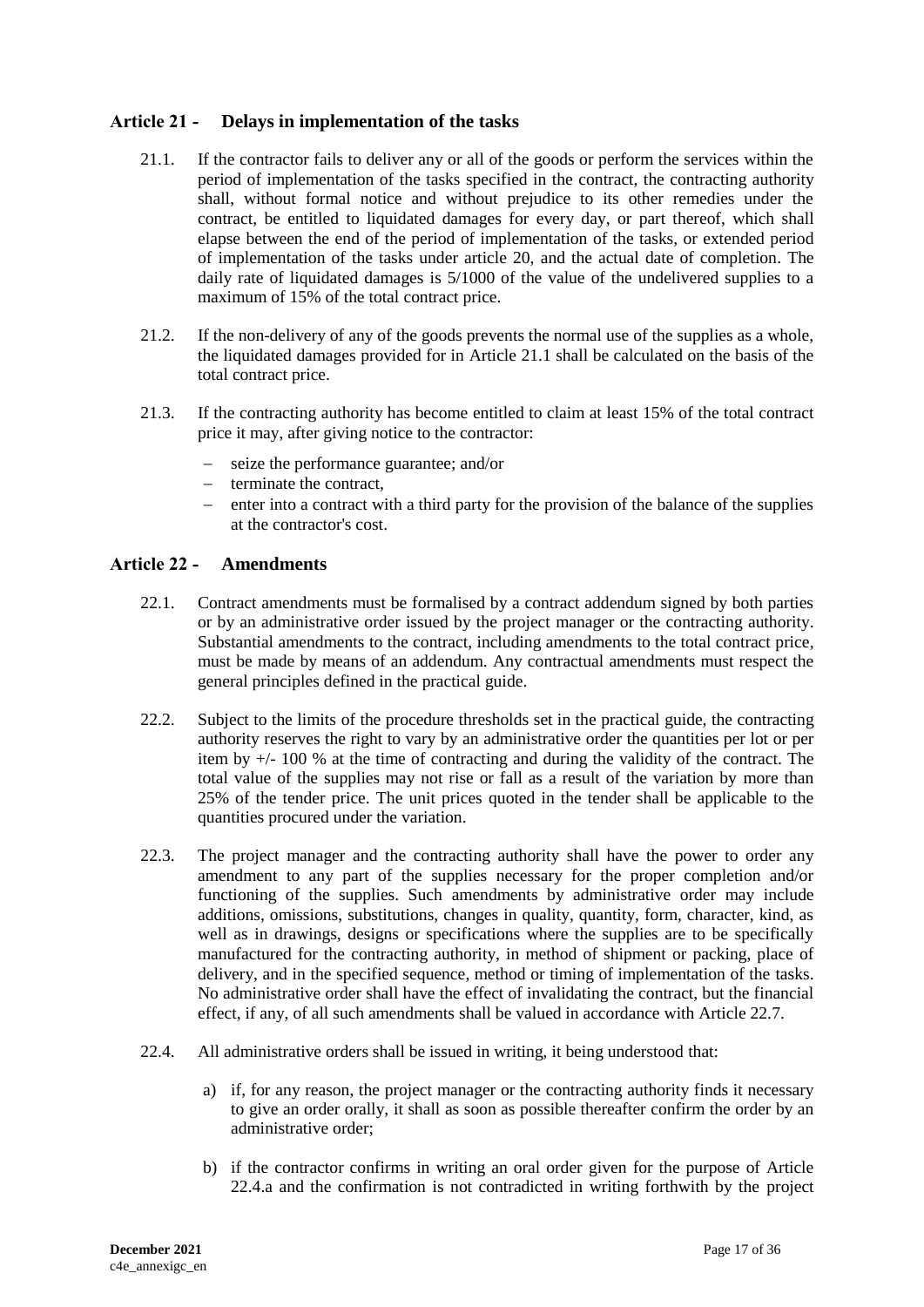# <span id="page-16-0"></span>**Article 21 - Delays in implementation of the tasks**

- 21.1. If the contractor fails to deliver any or all of the goods or perform the services within the period of implementation of the tasks specified in the contract, the contracting authority shall, without formal notice and without prejudice to its other remedies under the contract, be entitled to liquidated damages for every day, or part thereof, which shall elapse between the end of the period of implementation of the tasks, or extended period of implementation of the tasks under article 20, and the actual date of completion. The daily rate of liquidated damages is  $5/1000$  of the value of the undelivered supplies to a maximum of 15% of the total contract price.
- 21.2. If the non-delivery of any of the goods prevents the normal use of the supplies as a whole, the liquidated damages provided for in Article 21.1 shall be calculated on the basis of the total contract price.
- 21.3. If the contracting authority has become entitled to claim at least 15% of the total contract price it may, after giving notice to the contractor:
	- seize the performance guarantee; and/or
	- $-$  terminate the contract,
	- enter into a contract with a third party for the provision of the balance of the supplies at the contractor's cost.

### <span id="page-16-1"></span>**Article 22 - Amendments**

- 22.1. Contract amendments must be formalised by a contract addendum signed by both parties or by an administrative order issued by the project manager or the contracting authority. Substantial amendments to the contract, including amendments to the total contract price, must be made by means of an addendum. Any contractual amendments must respect the general principles defined in the practical guide.
- 22.2. Subject to the limits of the procedure thresholds set in the practical guide, the contracting authority reserves the right to vary by an administrative order the quantities per lot or per item by  $+/-100\%$  at the time of contracting and during the validity of the contract. The total value of the supplies may not rise or fall as a result of the variation by more than 25% of the tender price. The unit prices quoted in the tender shall be applicable to the quantities procured under the variation.
- 22.3. The project manager and the contracting authority shall have the power to order any amendment to any part of the supplies necessary for the proper completion and/or functioning of the supplies. Such amendments by administrative order may include additions, omissions, substitutions, changes in quality, quantity, form, character, kind, as well as in drawings, designs or specifications where the supplies are to be specifically manufactured for the contracting authority, in method of shipment or packing, place of delivery, and in the specified sequence, method or timing of implementation of the tasks. No administrative order shall have the effect of invalidating the contract, but the financial effect, if any, of all such amendments shall be valued in accordance with Article 22.7.
- 22.4. All administrative orders shall be issued in writing, it being understood that:
	- a) if, for any reason, the project manager or the contracting authority finds it necessary to give an order orally, it shall as soon as possible thereafter confirm the order by an administrative order;
	- b) if the contractor confirms in writing an oral order given for the purpose of Article 22.4.a and the confirmation is not contradicted in writing forthwith by the project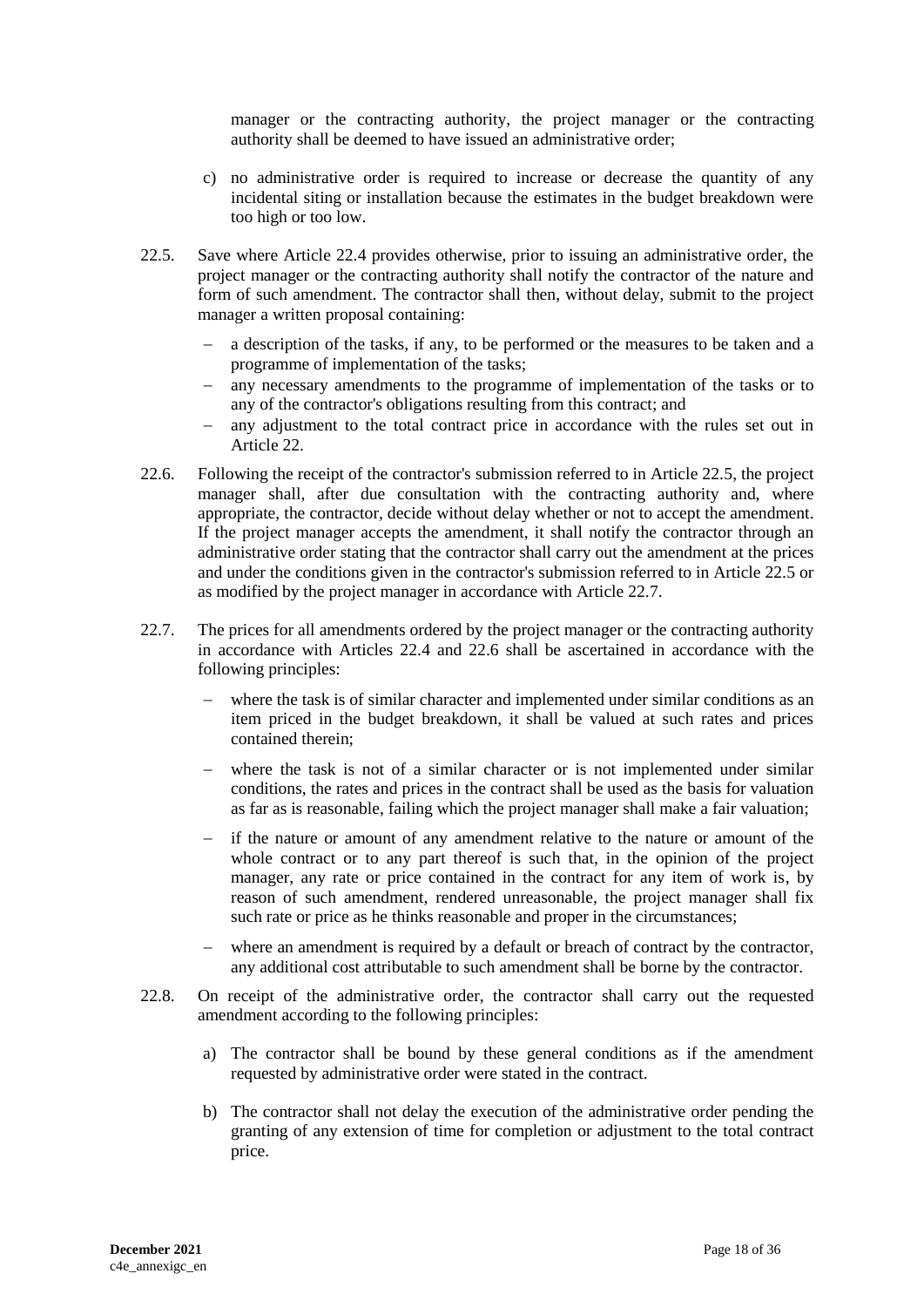manager or the contracting authority, the project manager or the contracting authority shall be deemed to have issued an administrative order;

- c) no administrative order is required to increase or decrease the quantity of any incidental siting or installation because the estimates in the budget breakdown were too high or too low.
- 22.5. Save where Article 22.4 provides otherwise, prior to issuing an administrative order, the project manager or the contracting authority shall notify the contractor of the nature and form of such amendment. The contractor shall then, without delay, submit to the project manager a written proposal containing:
	- a description of the tasks, if any, to be performed or the measures to be taken and a programme of implementation of the tasks;
	- any necessary amendments to the programme of implementation of the tasks or to any of the contractor's obligations resulting from this contract; and
	- any adjustment to the total contract price in accordance with the rules set out in Article 22.
- 22.6. Following the receipt of the contractor's submission referred to in Article 22.5, the project manager shall, after due consultation with the contracting authority and, where appropriate, the contractor, decide without delay whether or not to accept the amendment. If the project manager accepts the amendment, it shall notify the contractor through an administrative order stating that the contractor shall carry out the amendment at the prices and under the conditions given in the contractor's submission referred to in Article 22.5 or as modified by the project manager in accordance with Article 22.7.
- 22.7. The prices for all amendments ordered by the project manager or the contracting authority in accordance with Articles 22.4 and 22.6 shall be ascertained in accordance with the following principles:
	- where the task is of similar character and implemented under similar conditions as an item priced in the budget breakdown, it shall be valued at such rates and prices contained therein;
	- where the task is not of a similar character or is not implemented under similar conditions, the rates and prices in the contract shall be used as the basis for valuation as far as is reasonable, failing which the project manager shall make a fair valuation;
	- if the nature or amount of any amendment relative to the nature or amount of the whole contract or to any part thereof is such that, in the opinion of the project manager, any rate or price contained in the contract for any item of work is, by reason of such amendment, rendered unreasonable, the project manager shall fix such rate or price as he thinks reasonable and proper in the circumstances;
	- where an amendment is required by a default or breach of contract by the contractor, any additional cost attributable to such amendment shall be borne by the contractor.
- 22.8. On receipt of the administrative order, the contractor shall carry out the requested amendment according to the following principles:
	- a) The contractor shall be bound by these general conditions as if the amendment requested by administrative order were stated in the contract.
	- b) The contractor shall not delay the execution of the administrative order pending the granting of any extension of time for completion or adjustment to the total contract price.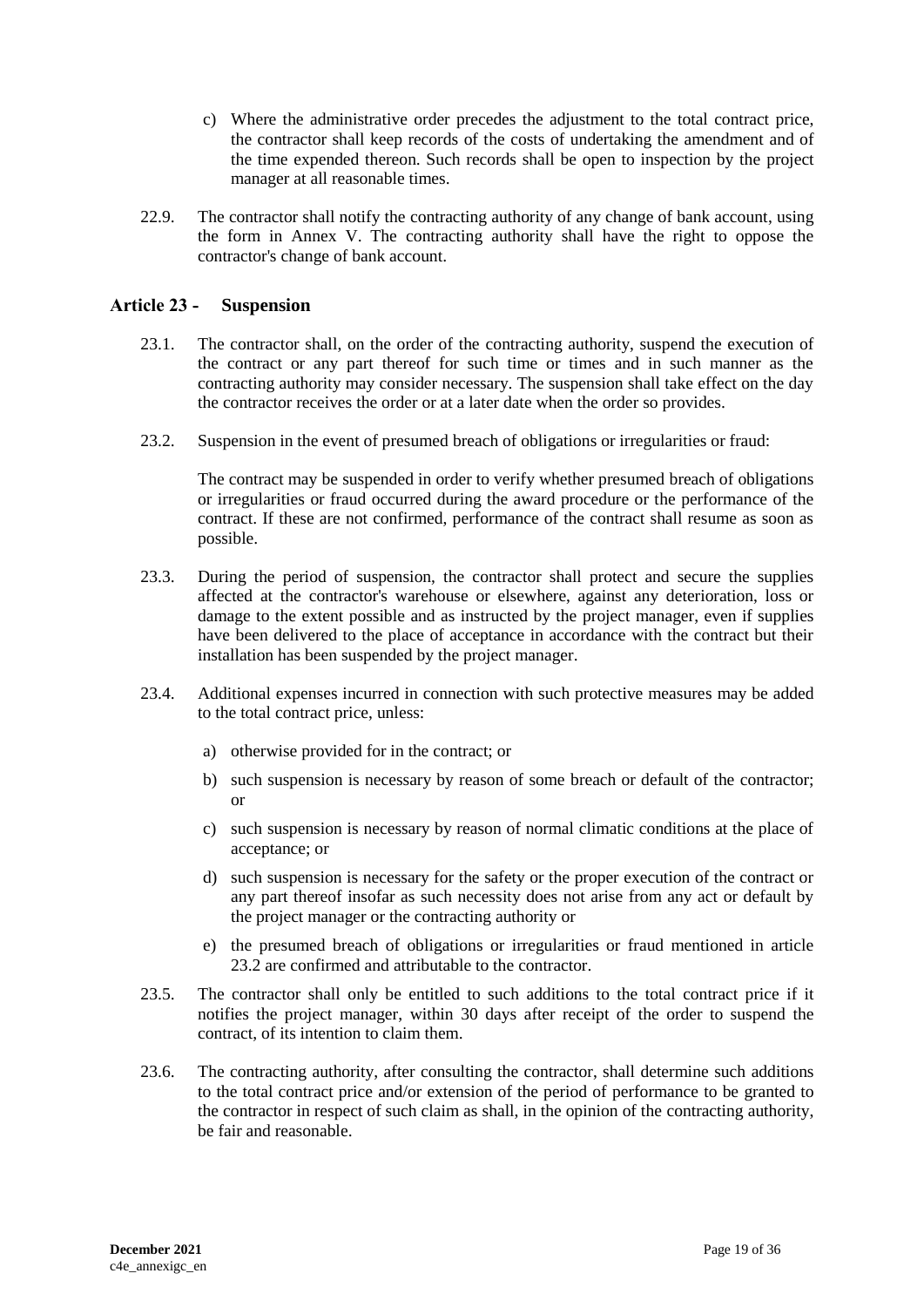- c) Where the administrative order precedes the adjustment to the total contract price, the contractor shall keep records of the costs of undertaking the amendment and of the time expended thereon. Such records shall be open to inspection by the project manager at all reasonable times.
- 22.9. The contractor shall notify the contracting authority of any change of bank account, using the form in Annex V. The contracting authority shall have the right to oppose the contractor's change of bank account.

# <span id="page-18-0"></span>**Article 23 - Suspension**

- 23.1. The contractor shall, on the order of the contracting authority, suspend the execution of the contract or any part thereof for such time or times and in such manner as the contracting authority may consider necessary. The suspension shall take effect on the day the contractor receives the order or at a later date when the order so provides.
- 23.2. Suspension in the event of presumed breach of obligations or irregularities or fraud:

The contract may be suspended in order to verify whether presumed breach of obligations or irregularities or fraud occurred during the award procedure or the performance of the contract. If these are not confirmed, performance of the contract shall resume as soon as possible.

- 23.3. During the period of suspension, the contractor shall protect and secure the supplies affected at the contractor's warehouse or elsewhere, against any deterioration, loss or damage to the extent possible and as instructed by the project manager, even if supplies have been delivered to the place of acceptance in accordance with the contract but their installation has been suspended by the project manager.
- 23.4. Additional expenses incurred in connection with such protective measures may be added to the total contract price, unless:
	- a) otherwise provided for in the contract; or
	- b) such suspension is necessary by reason of some breach or default of the contractor; or
	- c) such suspension is necessary by reason of normal climatic conditions at the place of acceptance; or
	- d) such suspension is necessary for the safety or the proper execution of the contract or any part thereof insofar as such necessity does not arise from any act or default by the project manager or the contracting authority or
	- e) the presumed breach of obligations or irregularities or fraud mentioned in article 23.2 are confirmed and attributable to the contractor.
- 23.5. The contractor shall only be entitled to such additions to the total contract price if it notifies the project manager, within 30 days after receipt of the order to suspend the contract, of its intention to claim them.
- 23.6. The contracting authority, after consulting the contractor, shall determine such additions to the total contract price and/or extension of the period of performance to be granted to the contractor in respect of such claim as shall, in the opinion of the contracting authority, be fair and reasonable.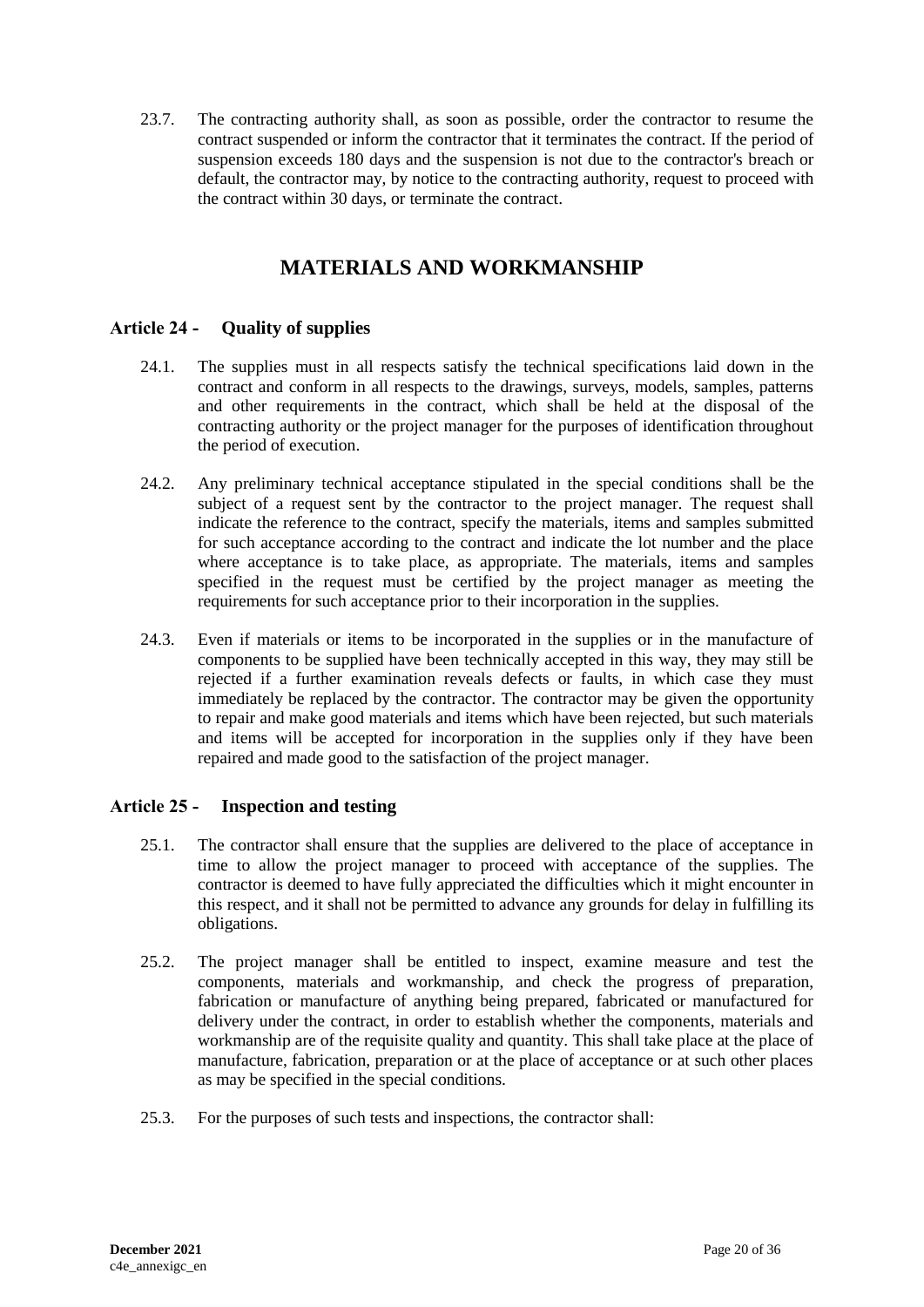23.7. The contracting authority shall, as soon as possible, order the contractor to resume the contract suspended or inform the contractor that it terminates the contract. If the period of suspension exceeds 180 days and the suspension is not due to the contractor's breach or default, the contractor may, by notice to the contracting authority, request to proceed with the contract within 30 days, or terminate the contract.

# **MATERIALS AND WORKMANSHIP**

# <span id="page-19-1"></span><span id="page-19-0"></span>**Article 24 - Quality of supplies**

- 24.1. The supplies must in all respects satisfy the technical specifications laid down in the contract and conform in all respects to the drawings, surveys, models, samples, patterns and other requirements in the contract, which shall be held at the disposal of the contracting authority or the project manager for the purposes of identification throughout the period of execution.
- 24.2. Any preliminary technical acceptance stipulated in the special conditions shall be the subject of a request sent by the contractor to the project manager. The request shall indicate the reference to the contract, specify the materials, items and samples submitted for such acceptance according to the contract and indicate the lot number and the place where acceptance is to take place, as appropriate. The materials, items and samples specified in the request must be certified by the project manager as meeting the requirements for such acceptance prior to their incorporation in the supplies.
- 24.3. Even if materials or items to be incorporated in the supplies or in the manufacture of components to be supplied have been technically accepted in this way, they may still be rejected if a further examination reveals defects or faults, in which case they must immediately be replaced by the contractor. The contractor may be given the opportunity to repair and make good materials and items which have been rejected, but such materials and items will be accepted for incorporation in the supplies only if they have been repaired and made good to the satisfaction of the project manager.

# <span id="page-19-2"></span>**Article 25 - Inspection and testing**

- 25.1. The contractor shall ensure that the supplies are delivered to the place of acceptance in time to allow the project manager to proceed with acceptance of the supplies. The contractor is deemed to have fully appreciated the difficulties which it might encounter in this respect, and it shall not be permitted to advance any grounds for delay in fulfilling its obligations.
- 25.2. The project manager shall be entitled to inspect, examine measure and test the components, materials and workmanship, and check the progress of preparation, fabrication or manufacture of anything being prepared, fabricated or manufactured for delivery under the contract, in order to establish whether the components, materials and workmanship are of the requisite quality and quantity. This shall take place at the place of manufacture, fabrication, preparation or at the place of acceptance or at such other places as may be specified in the special conditions.
- 25.3. For the purposes of such tests and inspections, the contractor shall: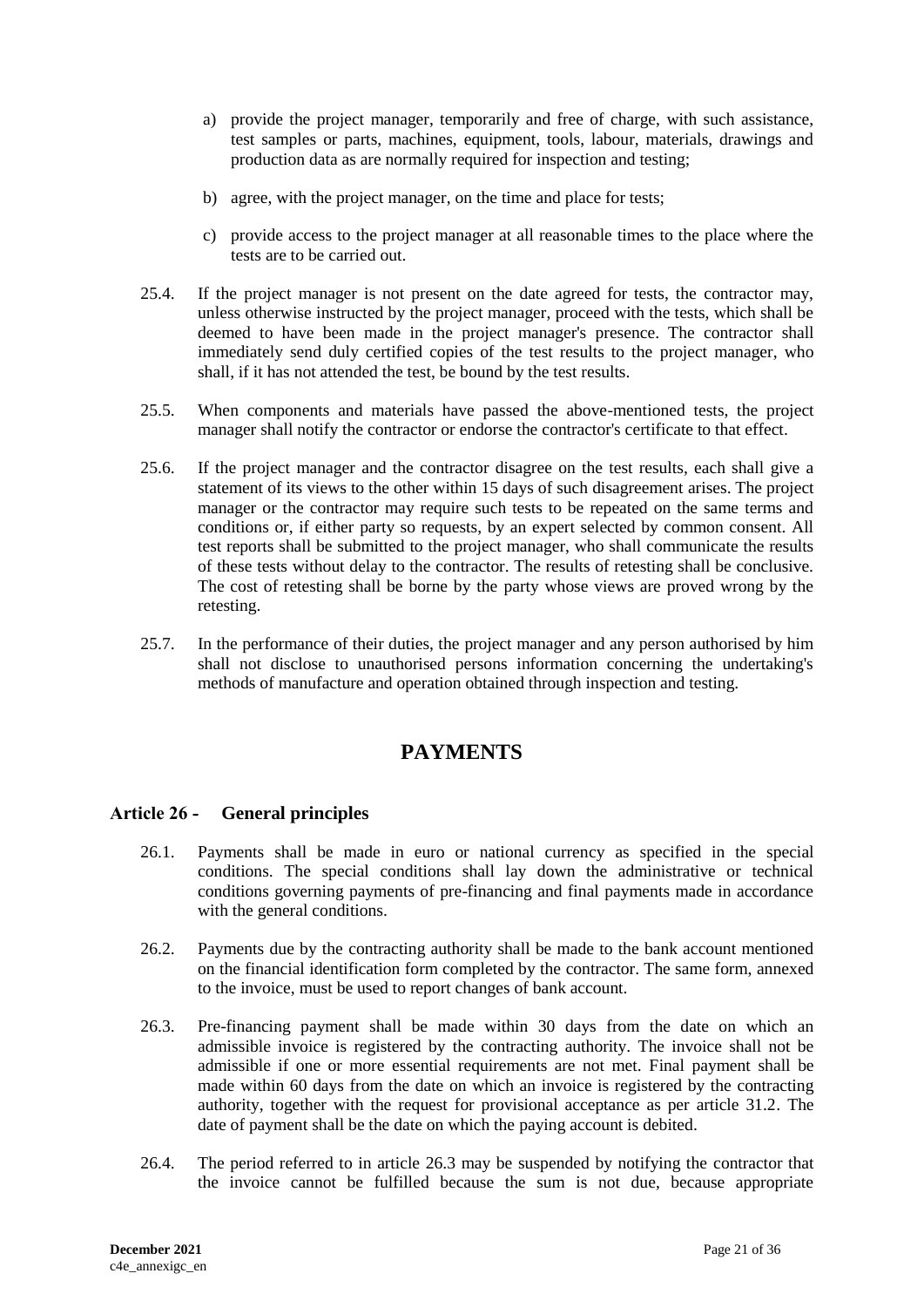- a) provide the project manager, temporarily and free of charge, with such assistance, test samples or parts, machines, equipment, tools, labour, materials, drawings and production data as are normally required for inspection and testing;
- b) agree, with the project manager, on the time and place for tests;
- c) provide access to the project manager at all reasonable times to the place where the tests are to be carried out.
- 25.4. If the project manager is not present on the date agreed for tests, the contractor may, unless otherwise instructed by the project manager, proceed with the tests, which shall be deemed to have been made in the project manager's presence. The contractor shall immediately send duly certified copies of the test results to the project manager, who shall, if it has not attended the test, be bound by the test results.
- 25.5. When components and materials have passed the above-mentioned tests, the project manager shall notify the contractor or endorse the contractor's certificate to that effect.
- 25.6. If the project manager and the contractor disagree on the test results, each shall give a statement of its views to the other within 15 days of such disagreement arises. The project manager or the contractor may require such tests to be repeated on the same terms and conditions or, if either party so requests, by an expert selected by common consent. All test reports shall be submitted to the project manager, who shall communicate the results of these tests without delay to the contractor. The results of retesting shall be conclusive. The cost of retesting shall be borne by the party whose views are proved wrong by the retesting.
- <span id="page-20-0"></span>25.7. In the performance of their duties, the project manager and any person authorised by him shall not disclose to unauthorised persons information concerning the undertaking's methods of manufacture and operation obtained through inspection and testing.

# **PAYMENTS**

# <span id="page-20-1"></span>**Article 26 - General principles**

- 26.1. Payments shall be made in euro or national currency as specified in the special conditions. The special conditions shall lay down the administrative or technical conditions governing payments of pre-financing and final payments made in accordance with the general conditions.
- 26.2. Payments due by the contracting authority shall be made to the bank account mentioned on the financial identification form completed by the contractor. The same form, annexed to the invoice, must be used to report changes of bank account.
- 26.3. Pre-financing payment shall be made within 30 days from the date on which an admissible invoice is registered by the contracting authority. The invoice shall not be admissible if one or more essential requirements are not met. Final payment shall be made within 60 days from the date on which an invoice is registered by the contracting authority, together with the request for provisional acceptance as per article 31.2. The date of payment shall be the date on which the paying account is debited.
- 26.4. The period referred to in article 26.3 may be suspended by notifying the contractor that the invoice cannot be fulfilled because the sum is not due, because appropriate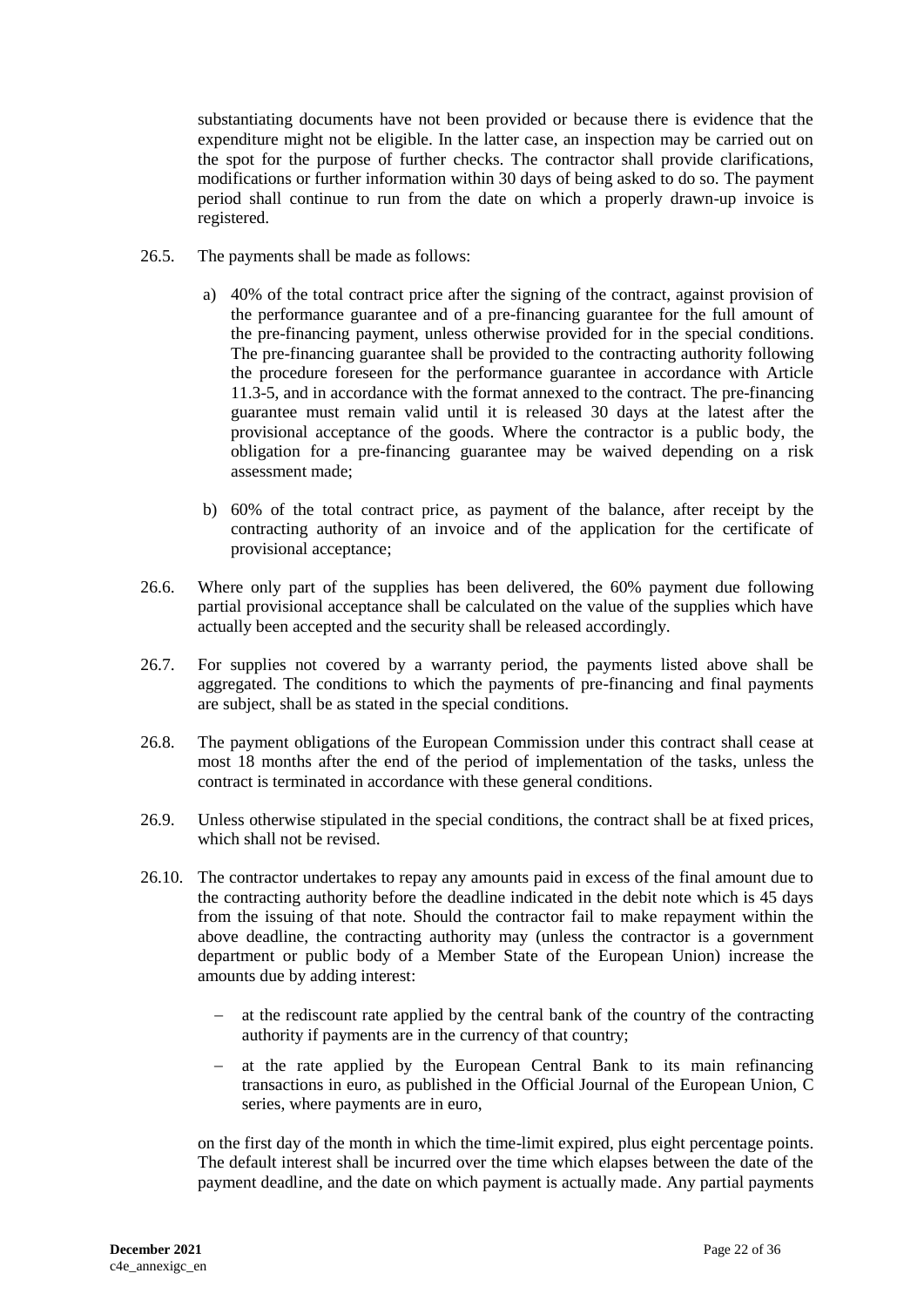substantiating documents have not been provided or because there is evidence that the expenditure might not be eligible. In the latter case, an inspection may be carried out on the spot for the purpose of further checks. The contractor shall provide clarifications, modifications or further information within 30 days of being asked to do so. The payment period shall continue to run from the date on which a properly drawn-up invoice is registered.

- 26.5. The payments shall be made as follows:
	- a) 40% of the total contract price after the signing of the contract, against provision of the performance guarantee and of a pre-financing guarantee for the full amount of the pre-financing payment, unless otherwise provided for in the special conditions. The pre-financing guarantee shall be provided to the contracting authority following the procedure foreseen for the performance guarantee in accordance with Article 11.3-5, and in accordance with the format annexed to the contract. The pre-financing guarantee must remain valid until it is released 30 days at the latest after the provisional acceptance of the goods. Where the contractor is a public body, the obligation for a pre-financing guarantee may be waived depending on a risk assessment made;
	- b) 60% of the total contract price, as payment of the balance, after receipt by the contracting authority of an invoice and of the application for the certificate of provisional acceptance;
- 26.6. Where only part of the supplies has been delivered, the 60% payment due following partial provisional acceptance shall be calculated on the value of the supplies which have actually been accepted and the security shall be released accordingly.
- 26.7. For supplies not covered by a warranty period, the payments listed above shall be aggregated. The conditions to which the payments of pre-financing and final payments are subject, shall be as stated in the special conditions.
- 26.8. The payment obligations of the European Commission under this contract shall cease at most 18 months after the end of the period of implementation of the tasks, unless the contract is terminated in accordance with these general conditions.
- 26.9. Unless otherwise stipulated in the special conditions, the contract shall be at fixed prices, which shall not be revised.
- 26.10. The contractor undertakes to repay any amounts paid in excess of the final amount due to the contracting authority before the deadline indicated in the debit note which is 45 days from the issuing of that note. Should the contractor fail to make repayment within the above deadline, the contracting authority may (unless the contractor is a government department or public body of a Member State of the European Union) increase the amounts due by adding interest:
	- $\alpha$  at the rediscount rate applied by the central bank of the country of the contracting authority if payments are in the currency of that country;
	- at the rate applied by the European Central Bank to its main refinancing transactions in euro, as published in the Official Journal of the European Union, C series, where payments are in euro,

on the first day of the month in which the time-limit expired, plus eight percentage points. The default interest shall be incurred over the time which elapses between the date of the payment deadline, and the date on which payment is actually made. Any partial payments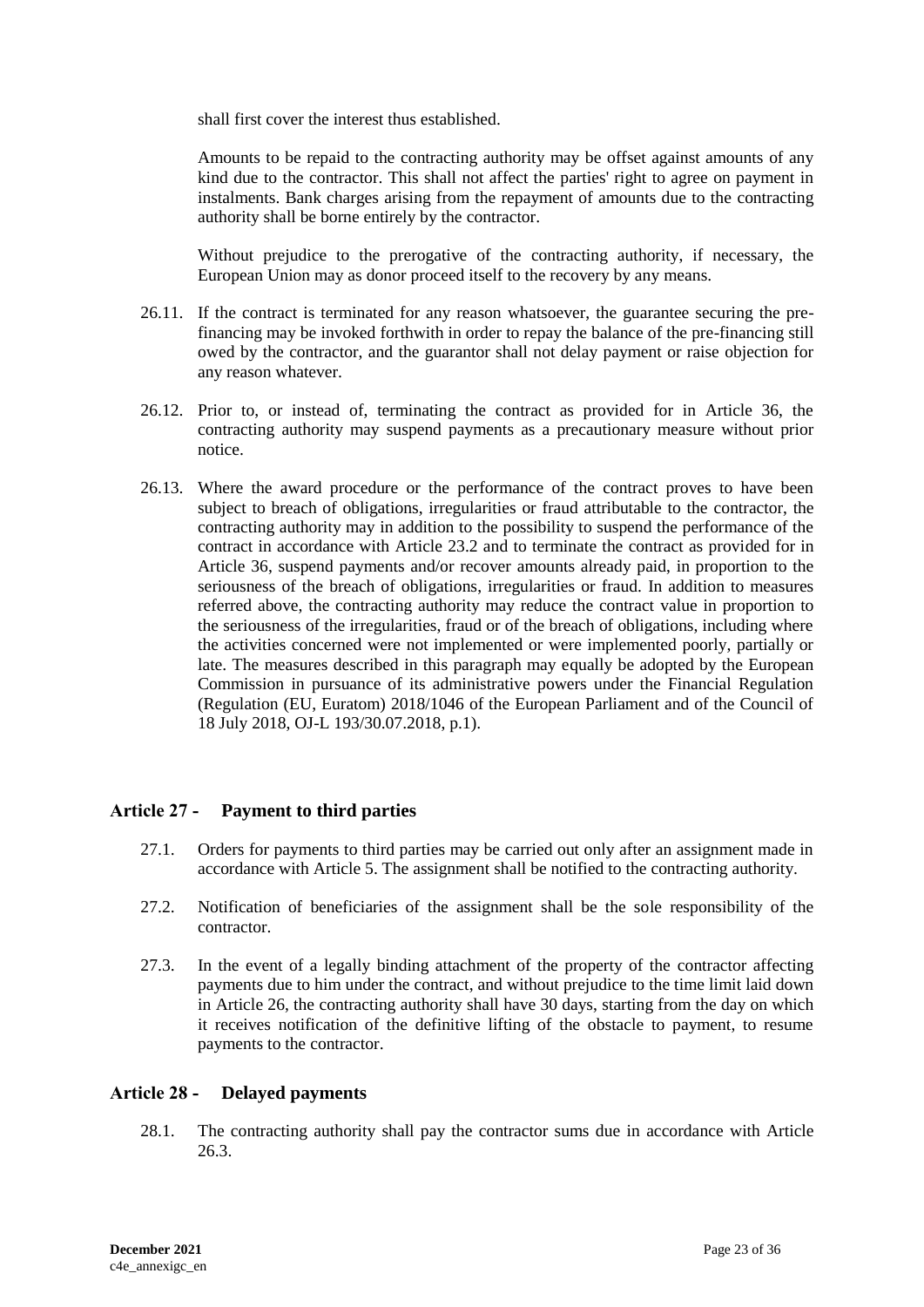shall first cover the interest thus established.

Amounts to be repaid to the contracting authority may be offset against amounts of any kind due to the contractor. This shall not affect the parties' right to agree on payment in instalments. Bank charges arising from the repayment of amounts due to the contracting authority shall be borne entirely by the contractor.

Without prejudice to the prerogative of the contracting authority, if necessary, the European Union may as donor proceed itself to the recovery by any means.

- 26.11. If the contract is terminated for any reason whatsoever, the guarantee securing the prefinancing may be invoked forthwith in order to repay the balance of the pre-financing still owed by the contractor, and the guarantor shall not delay payment or raise objection for any reason whatever.
- 26.12. Prior to, or instead of, terminating the contract as provided for in Article 36, the contracting authority may suspend payments as a precautionary measure without prior notice.
- 26.13. Where the award procedure or the performance of the contract proves to have been subject to breach of obligations, irregularities or fraud attributable to the contractor, the contracting authority may in addition to the possibility to suspend the performance of the contract in accordance with Article 23.2 and to terminate the contract as provided for in Article 36, suspend payments and/or recover amounts already paid, in proportion to the seriousness of the breach of obligations, irregularities or fraud. In addition to measures referred above, the contracting authority may reduce the contract value in proportion to the seriousness of the irregularities, fraud or of the breach of obligations, including where the activities concerned were not implemented or were implemented poorly, partially or late. The measures described in this paragraph may equally be adopted by the European Commission in pursuance of its administrative powers under the Financial Regulation (Regulation (EU, Euratom) 2018/1046 of the European Parliament and of the Council of 18 July 2018, OJ-L 193/30.07.2018, p.1).

# <span id="page-22-0"></span>**Article 27 - Payment to third parties**

- 27.1. Orders for payments to third parties may be carried out only after an assignment made in accordance with Article 5. The assignment shall be notified to the contracting authority.
- 27.2. Notification of beneficiaries of the assignment shall be the sole responsibility of the contractor.
- 27.3. In the event of a legally binding attachment of the property of the contractor affecting payments due to him under the contract, and without prejudice to the time limit laid down in Article 26, the contracting authority shall have 30 days, starting from the day on which it receives notification of the definitive lifting of the obstacle to payment, to resume payments to the contractor.

#### <span id="page-22-1"></span>**Article 28 - Delayed payments**

28.1. The contracting authority shall pay the contractor sums due in accordance with Article 26.3.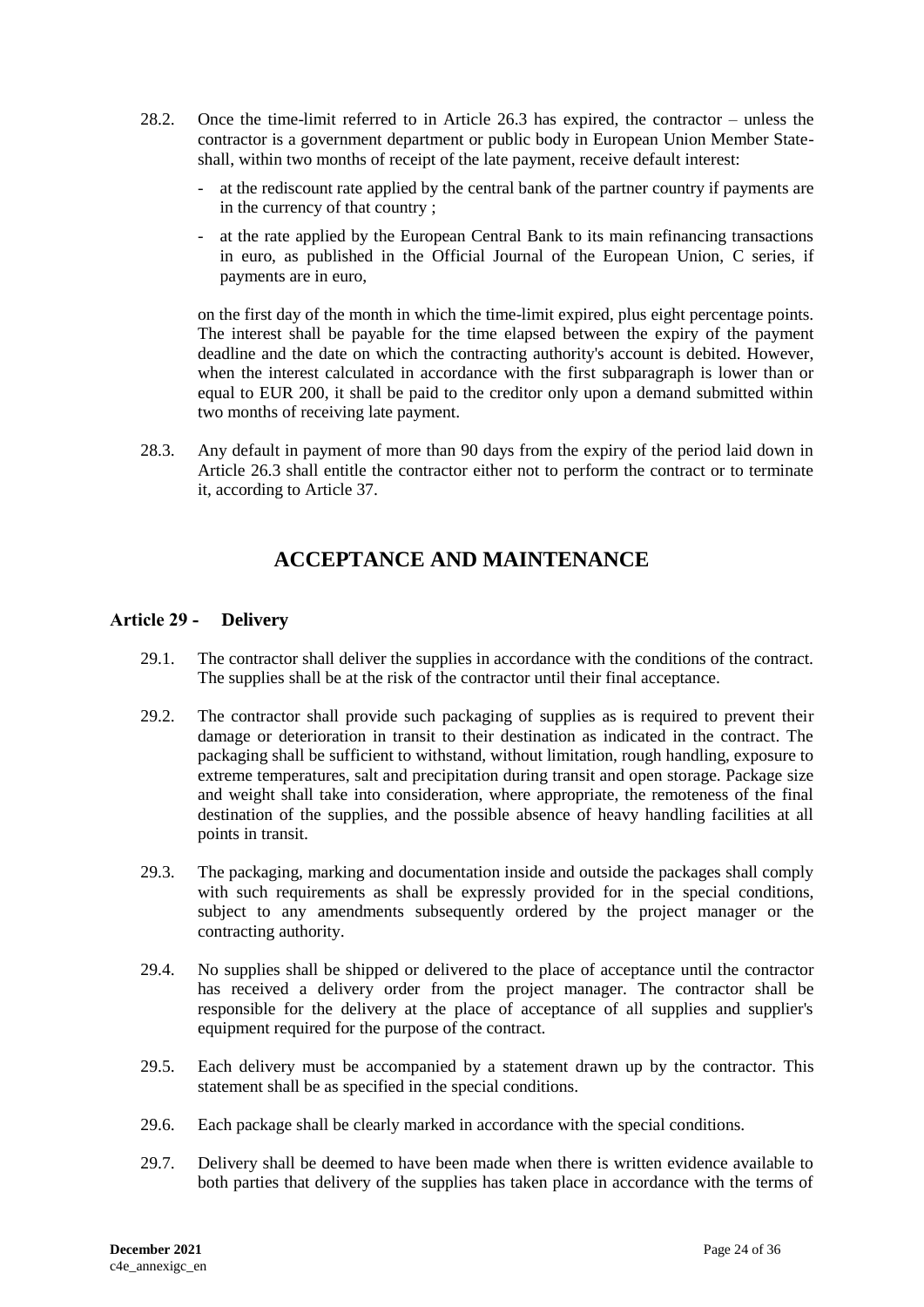- 28.2. Once the time-limit referred to in Article 26.3 has expired, the contractor unless the contractor is a government department or public body in European Union Member Stateshall, within two months of receipt of the late payment, receive default interest:
	- at the rediscount rate applied by the central bank of the partner country if payments are in the currency of that country ;
	- at the rate applied by the European Central Bank to its main refinancing transactions in euro, as published in the Official Journal of the European Union, C series, if payments are in euro,

on the first day of the month in which the time-limit expired, plus eight percentage points. The interest shall be payable for the time elapsed between the expiry of the payment deadline and the date on which the contracting authority's account is debited. However, when the interest calculated in accordance with the first subparagraph is lower than or equal to EUR 200, it shall be paid to the creditor only upon a demand submitted within two months of receiving late payment.

<span id="page-23-0"></span>28.3. Any default in payment of more than 90 days from the expiry of the period laid down in Article 26.3 shall entitle the contractor either not to perform the contract or to terminate it, according to Article 37.

# **ACCEPTANCE AND MAINTENANCE**

# <span id="page-23-1"></span>**Article 29 - Delivery**

- 29.1. The contractor shall deliver the supplies in accordance with the conditions of the contract. The supplies shall be at the risk of the contractor until their final acceptance.
- 29.2. The contractor shall provide such packaging of supplies as is required to prevent their damage or deterioration in transit to their destination as indicated in the contract. The packaging shall be sufficient to withstand, without limitation, rough handling, exposure to extreme temperatures, salt and precipitation during transit and open storage. Package size and weight shall take into consideration, where appropriate, the remoteness of the final destination of the supplies, and the possible absence of heavy handling facilities at all points in transit.
- 29.3. The packaging, marking and documentation inside and outside the packages shall comply with such requirements as shall be expressly provided for in the special conditions, subject to any amendments subsequently ordered by the project manager or the contracting authority.
- 29.4. No supplies shall be shipped or delivered to the place of acceptance until the contractor has received a delivery order from the project manager. The contractor shall be responsible for the delivery at the place of acceptance of all supplies and supplier's equipment required for the purpose of the contract.
- 29.5. Each delivery must be accompanied by a statement drawn up by the contractor. This statement shall be as specified in the special conditions.
- 29.6. Each package shall be clearly marked in accordance with the special conditions.
- 29.7. Delivery shall be deemed to have been made when there is written evidence available to both parties that delivery of the supplies has taken place in accordance with the terms of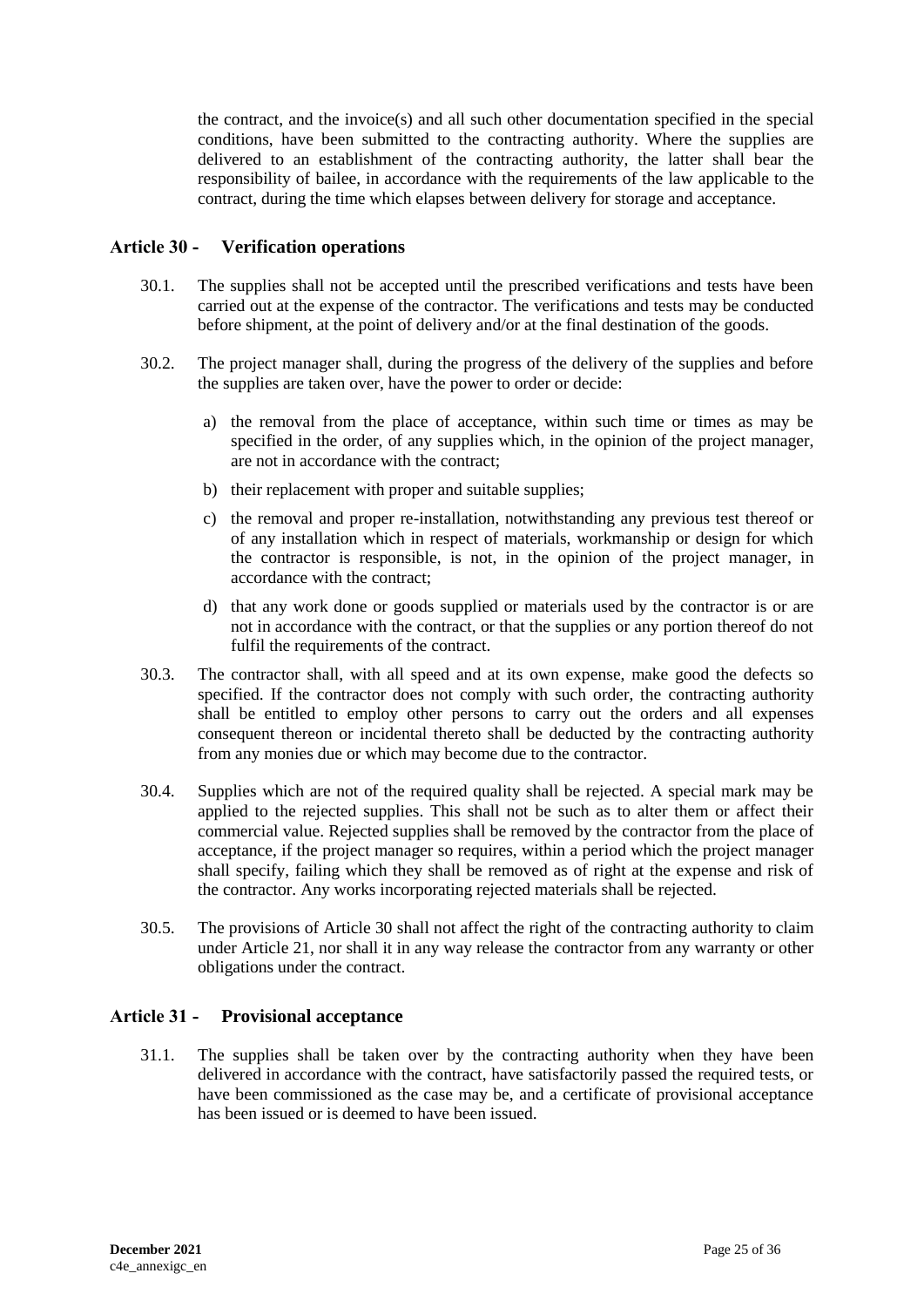the contract, and the invoice(s) and all such other documentation specified in the special conditions, have been submitted to the contracting authority. Where the supplies are delivered to an establishment of the contracting authority, the latter shall bear the responsibility of bailee, in accordance with the requirements of the law applicable to the contract, during the time which elapses between delivery for storage and acceptance.

### <span id="page-24-0"></span>**Article 30 - Verification operations**

- 30.1. The supplies shall not be accepted until the prescribed verifications and tests have been carried out at the expense of the contractor. The verifications and tests may be conducted before shipment, at the point of delivery and/or at the final destination of the goods.
- 30.2. The project manager shall, during the progress of the delivery of the supplies and before the supplies are taken over, have the power to order or decide:
	- a) the removal from the place of acceptance, within such time or times as may be specified in the order, of any supplies which, in the opinion of the project manager, are not in accordance with the contract;
	- b) their replacement with proper and suitable supplies;
	- c) the removal and proper re-installation, notwithstanding any previous test thereof or of any installation which in respect of materials, workmanship or design for which the contractor is responsible, is not, in the opinion of the project manager, in accordance with the contract;
	- d) that any work done or goods supplied or materials used by the contractor is or are not in accordance with the contract, or that the supplies or any portion thereof do not fulfil the requirements of the contract.
- 30.3. The contractor shall, with all speed and at its own expense, make good the defects so specified. If the contractor does not comply with such order, the contracting authority shall be entitled to employ other persons to carry out the orders and all expenses consequent thereon or incidental thereto shall be deducted by the contracting authority from any monies due or which may become due to the contractor.
- 30.4. Supplies which are not of the required quality shall be rejected. A special mark may be applied to the rejected supplies. This shall not be such as to alter them or affect their commercial value. Rejected supplies shall be removed by the contractor from the place of acceptance, if the project manager so requires, within a period which the project manager shall specify, failing which they shall be removed as of right at the expense and risk of the contractor. Any works incorporating rejected materials shall be rejected.
- 30.5. The provisions of Article 30 shall not affect the right of the contracting authority to claim under Article 21, nor shall it in any way release the contractor from any warranty or other obligations under the contract.

#### <span id="page-24-1"></span>**Article 31 - Provisional acceptance**

31.1. The supplies shall be taken over by the contracting authority when they have been delivered in accordance with the contract, have satisfactorily passed the required tests, or have been commissioned as the case may be, and a certificate of provisional acceptance has been issued or is deemed to have been issued.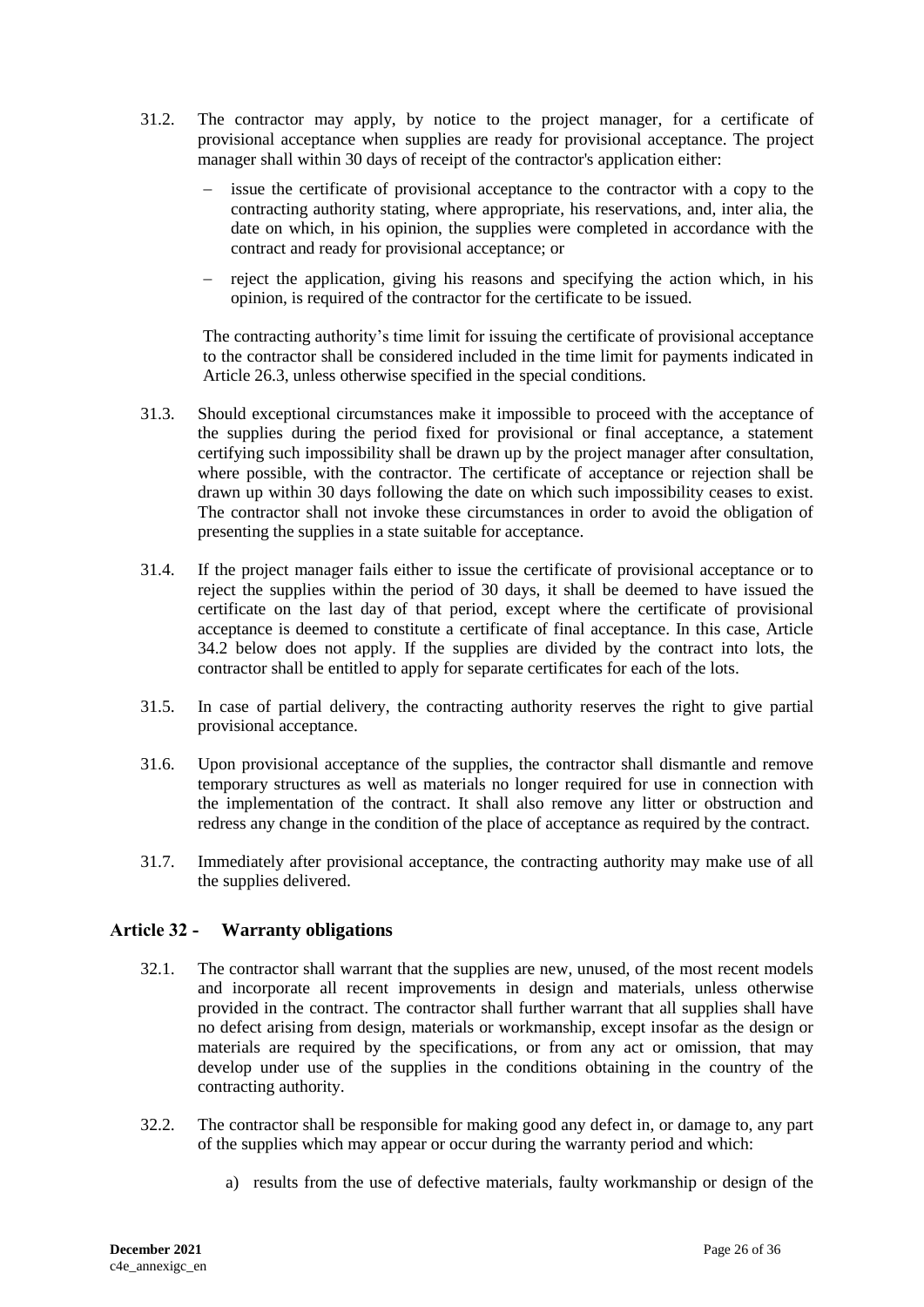- 31.2. The contractor may apply, by notice to the project manager, for a certificate of provisional acceptance when supplies are ready for provisional acceptance. The project manager shall within 30 days of receipt of the contractor's application either:
	- issue the certificate of provisional acceptance to the contractor with a copy to the contracting authority stating, where appropriate, his reservations, and, inter alia, the date on which, in his opinion, the supplies were completed in accordance with the contract and ready for provisional acceptance; or
	- reject the application, giving his reasons and specifying the action which, in his opinion, is required of the contractor for the certificate to be issued.

The contracting authority's time limit for issuing the certificate of provisional acceptance to the contractor shall be considered included in the time limit for payments indicated in Article 26.3, unless otherwise specified in the special conditions.

- 31.3. Should exceptional circumstances make it impossible to proceed with the acceptance of the supplies during the period fixed for provisional or final acceptance, a statement certifying such impossibility shall be drawn up by the project manager after consultation, where possible, with the contractor. The certificate of acceptance or rejection shall be drawn up within 30 days following the date on which such impossibility ceases to exist. The contractor shall not invoke these circumstances in order to avoid the obligation of presenting the supplies in a state suitable for acceptance.
- 31.4. If the project manager fails either to issue the certificate of provisional acceptance or to reject the supplies within the period of 30 days, it shall be deemed to have issued the certificate on the last day of that period, except where the certificate of provisional acceptance is deemed to constitute a certificate of final acceptance. In this case, Article 34.2 below does not apply. If the supplies are divided by the contract into lots, the contractor shall be entitled to apply for separate certificates for each of the lots.
- 31.5. In case of partial delivery, the contracting authority reserves the right to give partial provisional acceptance.
- 31.6. Upon provisional acceptance of the supplies, the contractor shall dismantle and remove temporary structures as well as materials no longer required for use in connection with the implementation of the contract. It shall also remove any litter or obstruction and redress any change in the condition of the place of acceptance as required by the contract.
- 31.7. Immediately after provisional acceptance, the contracting authority may make use of all the supplies delivered.

# <span id="page-25-0"></span>**Article 32 - Warranty obligations**

- 32.1. The contractor shall warrant that the supplies are new, unused, of the most recent models and incorporate all recent improvements in design and materials, unless otherwise provided in the contract. The contractor shall further warrant that all supplies shall have no defect arising from design, materials or workmanship, except insofar as the design or materials are required by the specifications, or from any act or omission, that may develop under use of the supplies in the conditions obtaining in the country of the contracting authority.
- 32.2. The contractor shall be responsible for making good any defect in, or damage to, any part of the supplies which may appear or occur during the warranty period and which:
	- a) results from the use of defective materials, faulty workmanship or design of the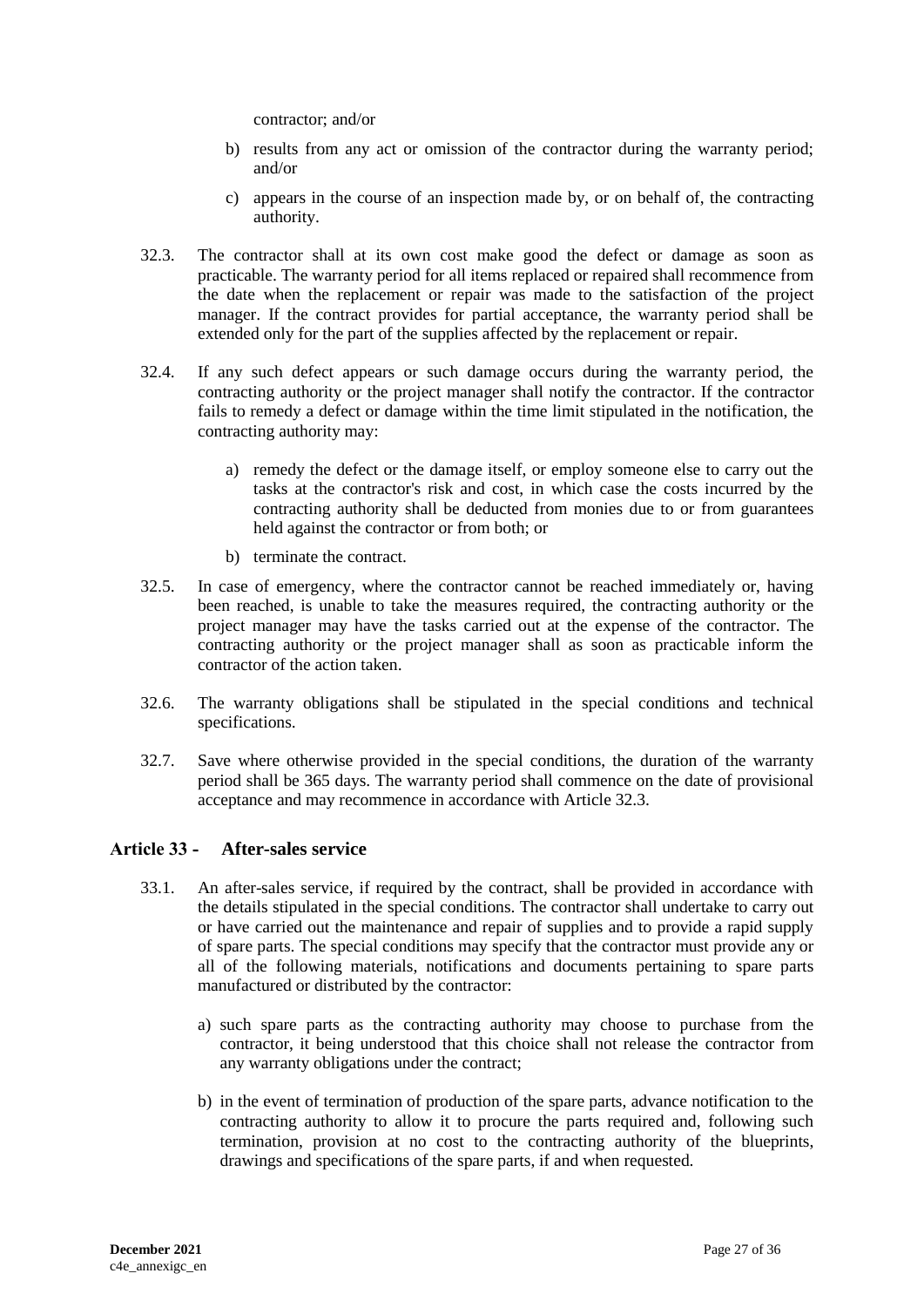contractor; and/or

- b) results from any act or omission of the contractor during the warranty period; and/or
- c) appears in the course of an inspection made by, or on behalf of, the contracting authority.
- 32.3. The contractor shall at its own cost make good the defect or damage as soon as practicable. The warranty period for all items replaced or repaired shall recommence from the date when the replacement or repair was made to the satisfaction of the project manager. If the contract provides for partial acceptance, the warranty period shall be extended only for the part of the supplies affected by the replacement or repair.
- 32.4. If any such defect appears or such damage occurs during the warranty period, the contracting authority or the project manager shall notify the contractor. If the contractor fails to remedy a defect or damage within the time limit stipulated in the notification, the contracting authority may:
	- a) remedy the defect or the damage itself, or employ someone else to carry out the tasks at the contractor's risk and cost, in which case the costs incurred by the contracting authority shall be deducted from monies due to or from guarantees held against the contractor or from both; or
	- b) terminate the contract.
- 32.5. In case of emergency, where the contractor cannot be reached immediately or, having been reached, is unable to take the measures required, the contracting authority or the project manager may have the tasks carried out at the expense of the contractor. The contracting authority or the project manager shall as soon as practicable inform the contractor of the action taken.
- 32.6. The warranty obligations shall be stipulated in the special conditions and technical specifications.
- 32.7. Save where otherwise provided in the special conditions, the duration of the warranty period shall be 365 days. The warranty period shall commence on the date of provisional acceptance and may recommence in accordance with Article 32.3.

# <span id="page-26-0"></span>**Article 33 - After-sales service**

- 33.1. An after-sales service, if required by the contract, shall be provided in accordance with the details stipulated in the special conditions. The contractor shall undertake to carry out or have carried out the maintenance and repair of supplies and to provide a rapid supply of spare parts. The special conditions may specify that the contractor must provide any or all of the following materials, notifications and documents pertaining to spare parts manufactured or distributed by the contractor:
	- a) such spare parts as the contracting authority may choose to purchase from the contractor, it being understood that this choice shall not release the contractor from any warranty obligations under the contract;
	- b) in the event of termination of production of the spare parts, advance notification to the contracting authority to allow it to procure the parts required and, following such termination, provision at no cost to the contracting authority of the blueprints, drawings and specifications of the spare parts, if and when requested.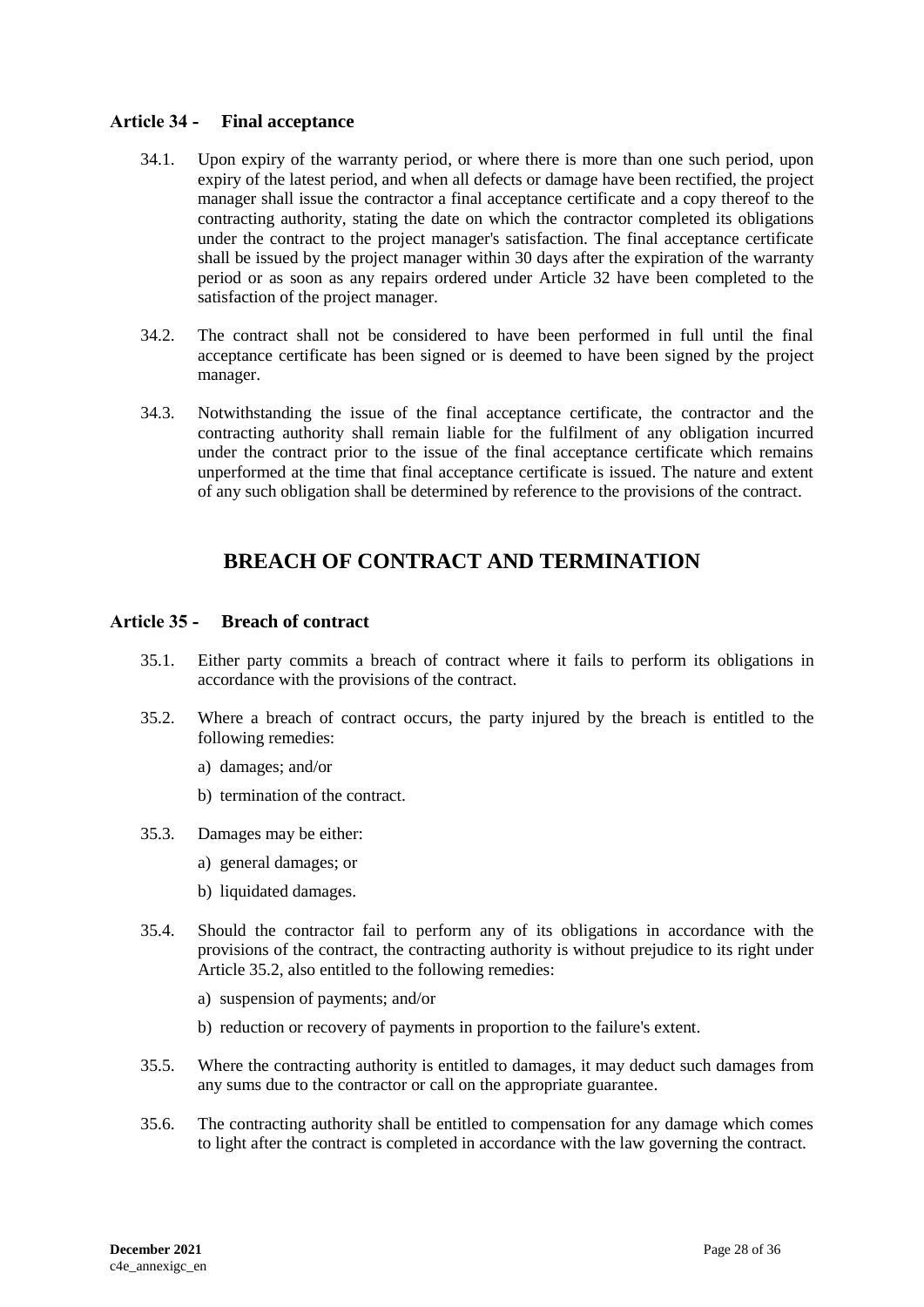# <span id="page-27-0"></span>**Article 34 - Final acceptance**

- 34.1. Upon expiry of the warranty period, or where there is more than one such period, upon expiry of the latest period, and when all defects or damage have been rectified, the project manager shall issue the contractor a final acceptance certificate and a copy thereof to the contracting authority, stating the date on which the contractor completed its obligations under the contract to the project manager's satisfaction. The final acceptance certificate shall be issued by the project manager within 30 days after the expiration of the warranty period or as soon as any repairs ordered under Article 32 have been completed to the satisfaction of the project manager.
- 34.2. The contract shall not be considered to have been performed in full until the final acceptance certificate has been signed or is deemed to have been signed by the project manager.
- 34.3. Notwithstanding the issue of the final acceptance certificate, the contractor and the contracting authority shall remain liable for the fulfilment of any obligation incurred under the contract prior to the issue of the final acceptance certificate which remains unperformed at the time that final acceptance certificate is issued. The nature and extent of any such obligation shall be determined by reference to the provisions of the contract.

# **BREACH OF CONTRACT AND TERMINATION**

# <span id="page-27-2"></span><span id="page-27-1"></span>**Article 35 - Breach of contract**

- 35.1. Either party commits a breach of contract where it fails to perform its obligations in accordance with the provisions of the contract.
- 35.2. Where a breach of contract occurs, the party injured by the breach is entitled to the following remedies:
	- a) damages; and/or
	- b) termination of the contract.
- 35.3. Damages may be either:
	- a) general damages; or
	- b) liquidated damages.
- 35.4. Should the contractor fail to perform any of its obligations in accordance with the provisions of the contract, the contracting authority is without prejudice to its right under Article 35.2, also entitled to the following remedies:
	- a) suspension of payments; and/or
	- b) reduction or recovery of payments in proportion to the failure's extent.
- 35.5. Where the contracting authority is entitled to damages, it may deduct such damages from any sums due to the contractor or call on the appropriate guarantee.
- 35.6. The contracting authority shall be entitled to compensation for any damage which comes to light after the contract is completed in accordance with the law governing the contract.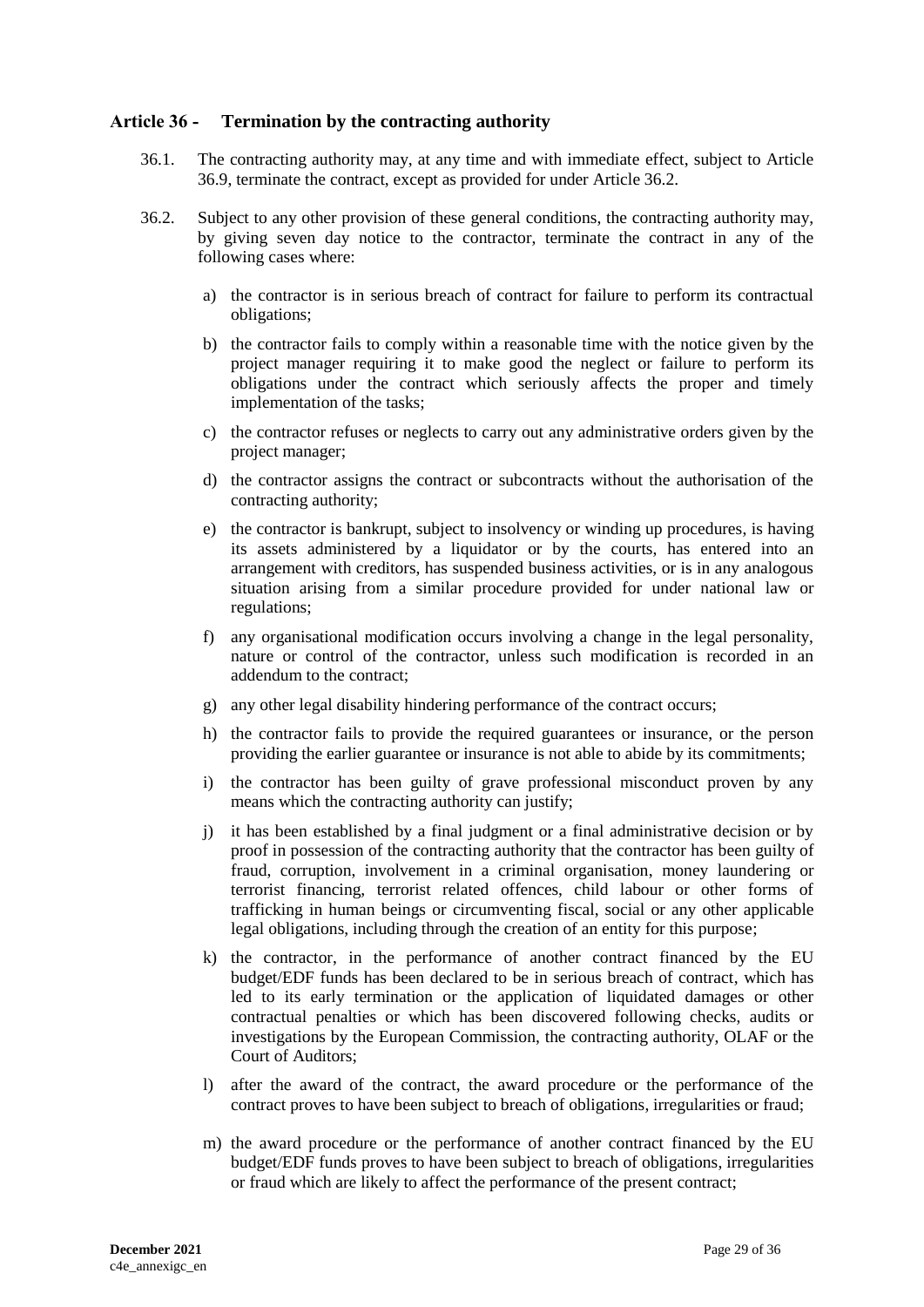### <span id="page-28-0"></span>**Article 36 - Termination by the contracting authority**

- 36.1. The contracting authority may, at any time and with immediate effect, subject to Article 36.9, terminate the contract, except as provided for under Article 36.2.
- 36.2. Subject to any other provision of these general conditions, the contracting authority may, by giving seven day notice to the contractor, terminate the contract in any of the following cases where:
	- a) the contractor is in serious breach of contract for failure to perform its contractual obligations;
	- b) the contractor fails to comply within a reasonable time with the notice given by the project manager requiring it to make good the neglect or failure to perform its obligations under the contract which seriously affects the proper and timely implementation of the tasks;
	- c) the contractor refuses or neglects to carry out any administrative orders given by the project manager;
	- d) the contractor assigns the contract or subcontracts without the authorisation of the contracting authority;
	- e) the contractor is bankrupt, subject to insolvency or winding up procedures, is having its assets administered by a liquidator or by the courts, has entered into an arrangement with creditors, has suspended business activities, or is in any analogous situation arising from a similar procedure provided for under national law or regulations;
	- f) any organisational modification occurs involving a change in the legal personality, nature or control of the contractor, unless such modification is recorded in an addendum to the contract;
	- g) any other legal disability hindering performance of the contract occurs;
	- h) the contractor fails to provide the required guarantees or insurance, or the person providing the earlier guarantee or insurance is not able to abide by its commitments;
	- i) the contractor has been guilty of grave professional misconduct proven by any means which the contracting authority can justify;
	- j) it has been established by a final judgment or a final administrative decision or by proof in possession of the contracting authority that the contractor has been guilty of fraud, corruption, involvement in a criminal organisation, money laundering or terrorist financing, terrorist related offences, child labour or other forms of trafficking in human beings or circumventing fiscal, social or any other applicable legal obligations, including through the creation of an entity for this purpose;
	- k) the contractor, in the performance of another contract financed by the EU budget/EDF funds has been declared to be in serious breach of contract, which has led to its early termination or the application of liquidated damages or other contractual penalties or which has been discovered following checks, audits or investigations by the European Commission, the contracting authority, OLAF or the Court of Auditors;
	- l) after the award of the contract, the award procedure or the performance of the contract proves to have been subject to breach of obligations, irregularities or fraud;
	- m) the award procedure or the performance of another contract financed by the EU budget/EDF funds proves to have been subject to breach of obligations, irregularities or fraud which are likely to affect the performance of the present contract;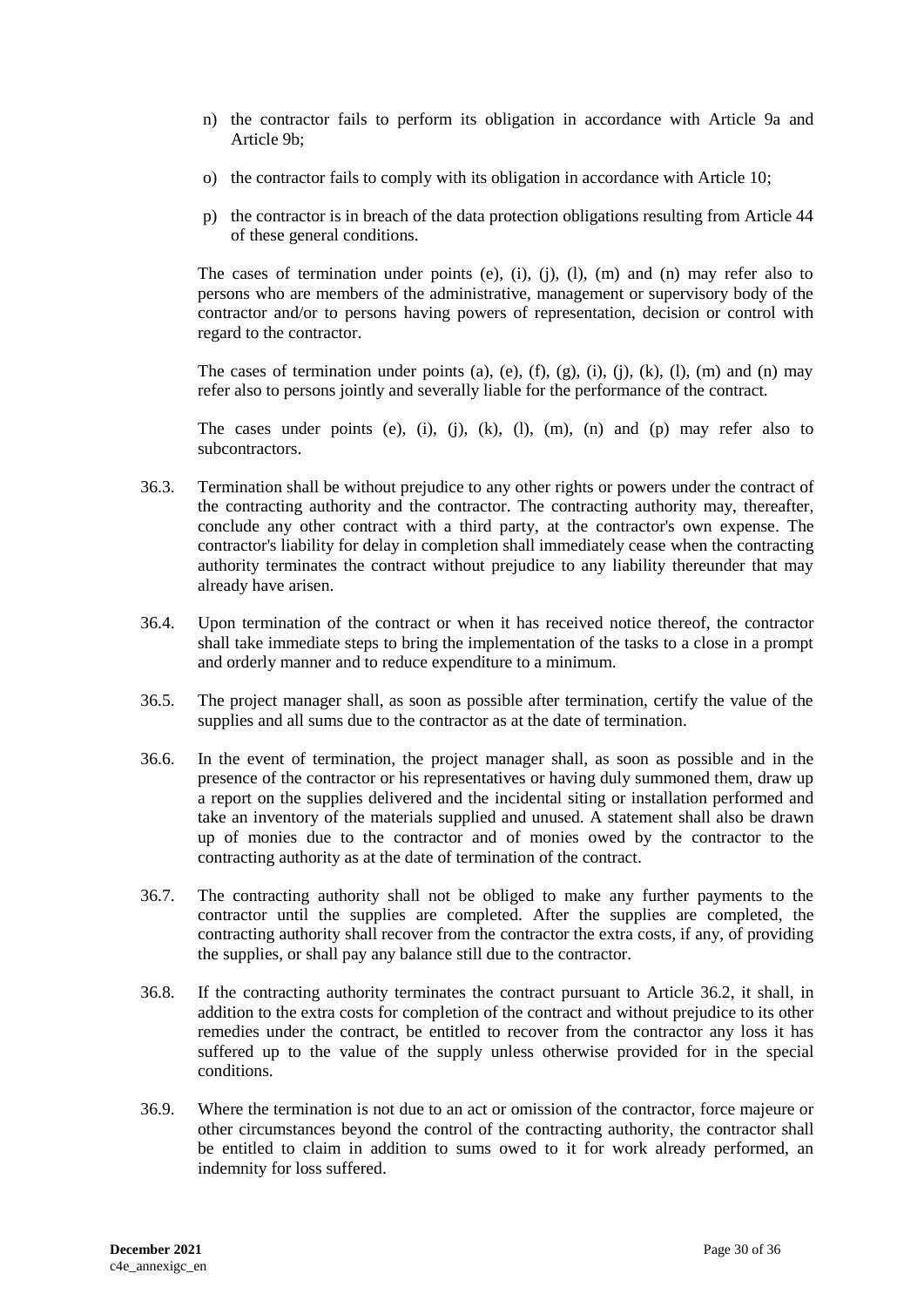- n) the contractor fails to perform its obligation in accordance with Article 9a and Article 9b;
- o) the contractor fails to comply with its obligation in accordance with Article 10;
- p) the contractor is in breach of the data protection obligations resulting from Article 44 of these general conditions.

The cases of termination under points (e), (i), (j), (l), (m) and (n) may refer also to persons who are members of the administrative, management or supervisory body of the contractor and/or to persons having powers of representation, decision or control with regard to the contractor.

The cases of termination under points (a), (e), (f), (g), (i), (j), (k), (l), (m) and (n) may refer also to persons jointly and severally liable for the performance of the contract.

The cases under points (e), (i), (j), (k), (l), (m), (n) and (p) may refer also to subcontractors.

- 36.3. Termination shall be without prejudice to any other rights or powers under the contract of the contracting authority and the contractor. The contracting authority may, thereafter, conclude any other contract with a third party, at the contractor's own expense. The contractor's liability for delay in completion shall immediately cease when the contracting authority terminates the contract without prejudice to any liability thereunder that may already have arisen.
- 36.4. Upon termination of the contract or when it has received notice thereof, the contractor shall take immediate steps to bring the implementation of the tasks to a close in a prompt and orderly manner and to reduce expenditure to a minimum.
- 36.5. The project manager shall, as soon as possible after termination, certify the value of the supplies and all sums due to the contractor as at the date of termination.
- 36.6. In the event of termination, the project manager shall, as soon as possible and in the presence of the contractor or his representatives or having duly summoned them, draw up a report on the supplies delivered and the incidental siting or installation performed and take an inventory of the materials supplied and unused. A statement shall also be drawn up of monies due to the contractor and of monies owed by the contractor to the contracting authority as at the date of termination of the contract.
- 36.7. The contracting authority shall not be obliged to make any further payments to the contractor until the supplies are completed. After the supplies are completed, the contracting authority shall recover from the contractor the extra costs, if any, of providing the supplies, or shall pay any balance still due to the contractor.
- 36.8. If the contracting authority terminates the contract pursuant to Article 36.2, it shall, in addition to the extra costs for completion of the contract and without prejudice to its other remedies under the contract, be entitled to recover from the contractor any loss it has suffered up to the value of the supply unless otherwise provided for in the special conditions.
- 36.9. Where the termination is not due to an act or omission of the contractor, force majeure or other circumstances beyond the control of the contracting authority, the contractor shall be entitled to claim in addition to sums owed to it for work already performed, an indemnity for loss suffered.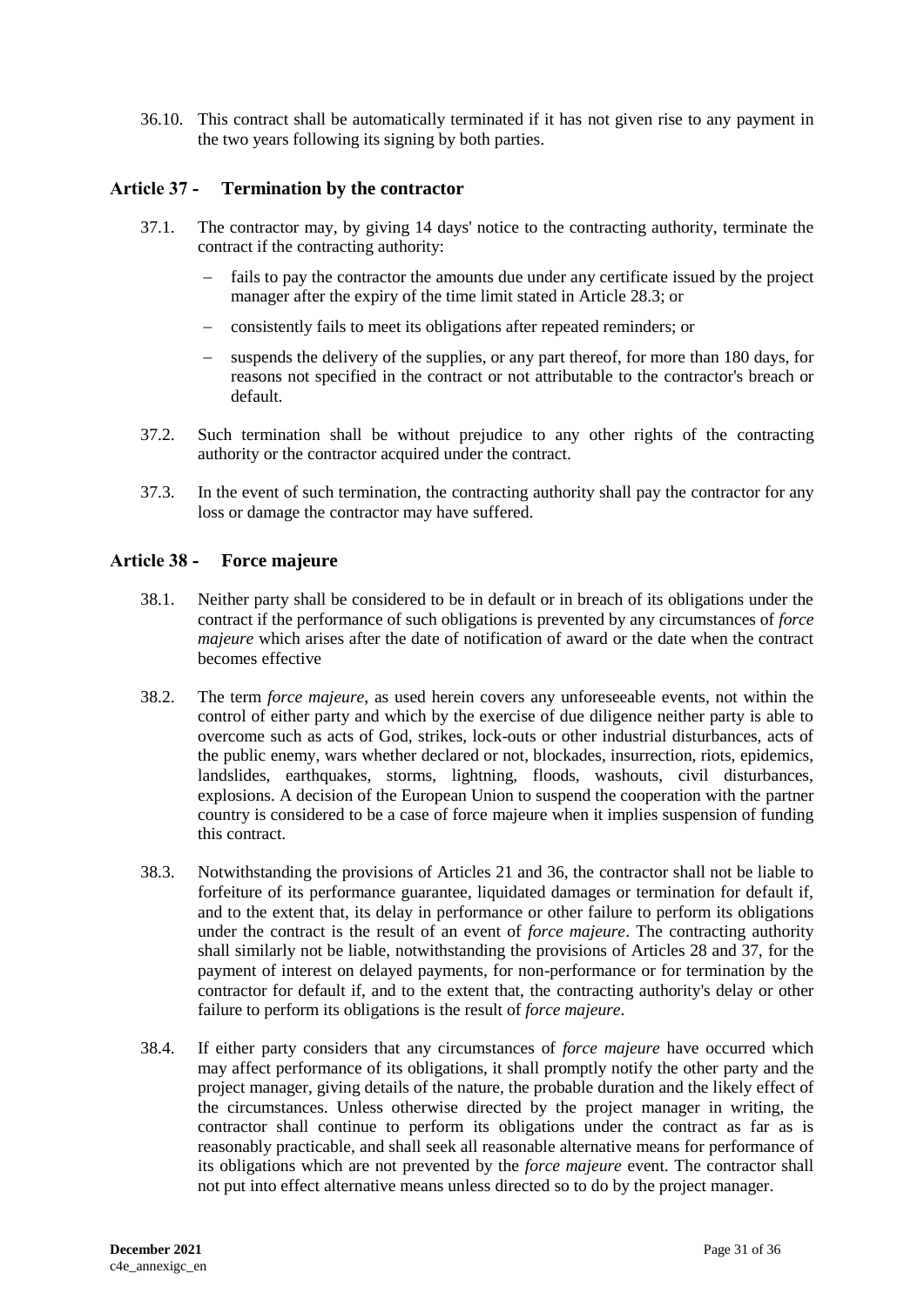36.10. This contract shall be automatically terminated if it has not given rise to any payment in the two years following its signing by both parties.

### <span id="page-30-0"></span>**Article 37 - Termination by the contractor**

- 37.1. The contractor may, by giving 14 days' notice to the contracting authority, terminate the contract if the contracting authority:
	- fails to pay the contractor the amounts due under any certificate issued by the project manager after the expiry of the time limit stated in Article 28.3; or
	- consistently fails to meet its obligations after repeated reminders; or
	- suspends the delivery of the supplies, or any part thereof, for more than 180 days, for reasons not specified in the contract or not attributable to the contractor's breach or default.
- 37.2. Such termination shall be without prejudice to any other rights of the contracting authority or the contractor acquired under the contract.
- 37.3. In the event of such termination, the contracting authority shall pay the contractor for any loss or damage the contractor may have suffered.

#### <span id="page-30-1"></span>**Article 38 - Force majeure**

- 38.1. Neither party shall be considered to be in default or in breach of its obligations under the contract if the performance of such obligations is prevented by any circumstances of *force majeure* which arises after the date of notification of award or the date when the contract becomes effective
- 38.2. The term *force majeure*, as used herein covers any unforeseeable events, not within the control of either party and which by the exercise of due diligence neither party is able to overcome such as acts of God, strikes, lock-outs or other industrial disturbances, acts of the public enemy, wars whether declared or not, blockades, insurrection, riots, epidemics, landslides, earthquakes, storms, lightning, floods, washouts, civil disturbances, explosions. A decision of the European Union to suspend the cooperation with the partner country is considered to be a case of force majeure when it implies suspension of funding this contract.
- 38.3. Notwithstanding the provisions of Articles 21 and 36, the contractor shall not be liable to forfeiture of its performance guarantee, liquidated damages or termination for default if, and to the extent that, its delay in performance or other failure to perform its obligations under the contract is the result of an event of *force majeure*. The contracting authority shall similarly not be liable, notwithstanding the provisions of Articles 28 and 37, for the payment of interest on delayed payments, for non-performance or for termination by the contractor for default if, and to the extent that, the contracting authority's delay or other failure to perform its obligations is the result of *force majeure*.
- 38.4. If either party considers that any circumstances of *force majeure* have occurred which may affect performance of its obligations, it shall promptly notify the other party and the project manager, giving details of the nature, the probable duration and the likely effect of the circumstances. Unless otherwise directed by the project manager in writing, the contractor shall continue to perform its obligations under the contract as far as is reasonably practicable, and shall seek all reasonable alternative means for performance of its obligations which are not prevented by the *force majeure* event. The contractor shall not put into effect alternative means unless directed so to do by the project manager.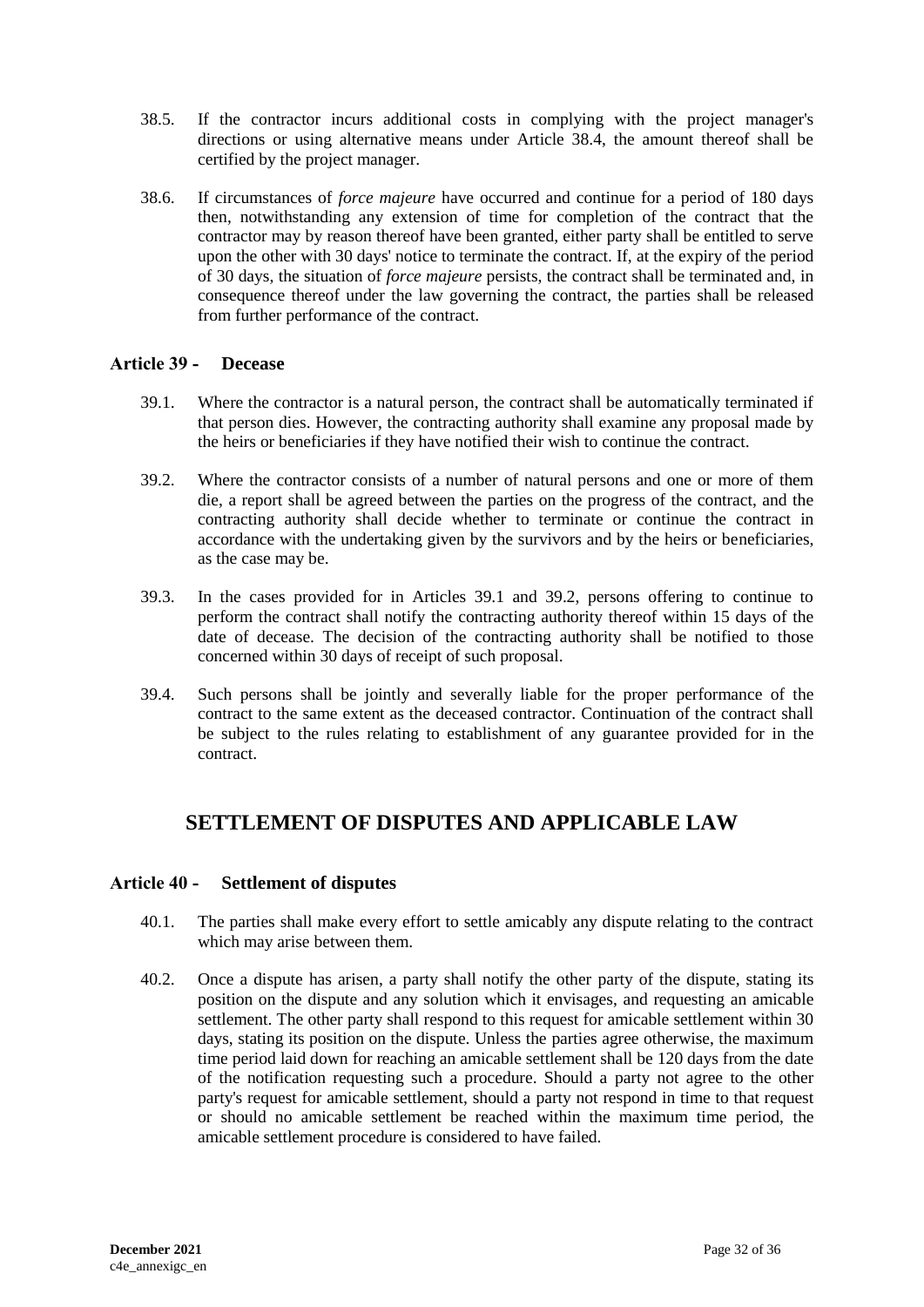- 38.5. If the contractor incurs additional costs in complying with the project manager's directions or using alternative means under Article 38.4, the amount thereof shall be certified by the project manager.
- 38.6. If circumstances of *force majeure* have occurred and continue for a period of 180 days then, notwithstanding any extension of time for completion of the contract that the contractor may by reason thereof have been granted, either party shall be entitled to serve upon the other with 30 days' notice to terminate the contract. If, at the expiry of the period of 30 days, the situation of *force majeure* persists, the contract shall be terminated and, in consequence thereof under the law governing the contract, the parties shall be released from further performance of the contract.

# <span id="page-31-0"></span>**Article 39 - Decease**

- 39.1. Where the contractor is a natural person, the contract shall be automatically terminated if that person dies. However, the contracting authority shall examine any proposal made by the heirs or beneficiaries if they have notified their wish to continue the contract.
- 39.2. Where the contractor consists of a number of natural persons and one or more of them die, a report shall be agreed between the parties on the progress of the contract, and the contracting authority shall decide whether to terminate or continue the contract in accordance with the undertaking given by the survivors and by the heirs or beneficiaries, as the case may be.
- 39.3. In the cases provided for in Articles 39.1 and 39.2, persons offering to continue to perform the contract shall notify the contracting authority thereof within 15 days of the date of decease. The decision of the contracting authority shall be notified to those concerned within 30 days of receipt of such proposal.
- 39.4. Such persons shall be jointly and severally liable for the proper performance of the contract to the same extent as the deceased contractor. Continuation of the contract shall be subject to the rules relating to establishment of any guarantee provided for in the contract.

# <span id="page-31-1"></span>**SETTLEMENT OF DISPUTES AND APPLICABLE LAW**

# <span id="page-31-2"></span>**Article 40 - Settlement of disputes**

- 40.1. The parties shall make every effort to settle amicably any dispute relating to the contract which may arise between them.
- 40.2. Once a dispute has arisen, a party shall notify the other party of the dispute, stating its position on the dispute and any solution which it envisages, and requesting an amicable settlement. The other party shall respond to this request for amicable settlement within 30 days, stating its position on the dispute. Unless the parties agree otherwise, the maximum time period laid down for reaching an amicable settlement shall be 120 days from the date of the notification requesting such a procedure. Should a party not agree to the other party's request for amicable settlement, should a party not respond in time to that request or should no amicable settlement be reached within the maximum time period, the amicable settlement procedure is considered to have failed.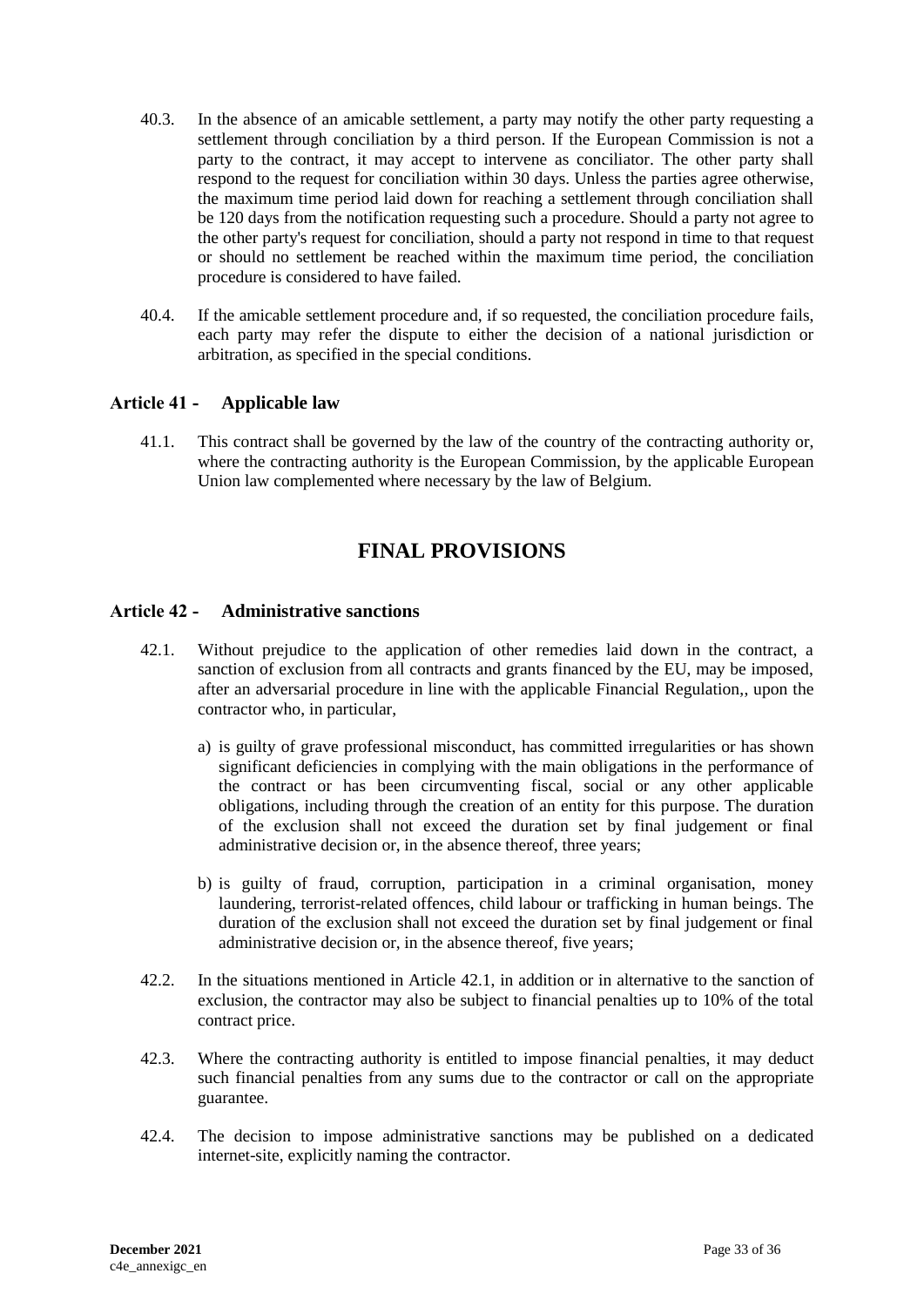- 40.3. In the absence of an amicable settlement, a party may notify the other party requesting a settlement through conciliation by a third person. If the European Commission is not a party to the contract, it may accept to intervene as conciliator. The other party shall respond to the request for conciliation within 30 days. Unless the parties agree otherwise, the maximum time period laid down for reaching a settlement through conciliation shall be 120 days from the notification requesting such a procedure. Should a party not agree to the other party's request for conciliation, should a party not respond in time to that request or should no settlement be reached within the maximum time period, the conciliation procedure is considered to have failed.
- 40.4. If the amicable settlement procedure and, if so requested, the conciliation procedure fails, each party may refer the dispute to either the decision of a national jurisdiction or arbitration, as specified in the special conditions.

# <span id="page-32-0"></span>**Article 41 - Applicable law**

<span id="page-32-1"></span>41.1. This contract shall be governed by the law of the country of the contracting authority or, where the contracting authority is the European Commission, by the applicable European Union law complemented where necessary by the law of Belgium.

# **FINAL PROVISIONS**

#### <span id="page-32-2"></span>**Article 42 - Administrative sanctions**

- 42.1. Without prejudice to the application of other remedies laid down in the contract, a sanction of exclusion from all contracts and grants financed by the EU, may be imposed, after an adversarial procedure in line with the applicable Financial Regulation,, upon the contractor who, in particular,
	- a) is guilty of grave professional misconduct, has committed irregularities or has shown significant deficiencies in complying with the main obligations in the performance of the contract or has been circumventing fiscal, social or any other applicable obligations, including through the creation of an entity for this purpose. The duration of the exclusion shall not exceed the duration set by final judgement or final administrative decision or, in the absence thereof, three years;
	- b) is guilty of fraud, corruption, participation in a criminal organisation, money laundering, terrorist-related offences, child labour or trafficking in human beings. The duration of the exclusion shall not exceed the duration set by final judgement or final administrative decision or, in the absence thereof, five years;
- 42.2. In the situations mentioned in Article 42.1, in addition or in alternative to the sanction of exclusion, the contractor may also be subject to financial penalties up to 10% of the total contract price.
- 42.3. Where the contracting authority is entitled to impose financial penalties, it may deduct such financial penalties from any sums due to the contractor or call on the appropriate guarantee.
- 42.4. The decision to impose administrative sanctions may be published on a dedicated internet-site, explicitly naming the contractor.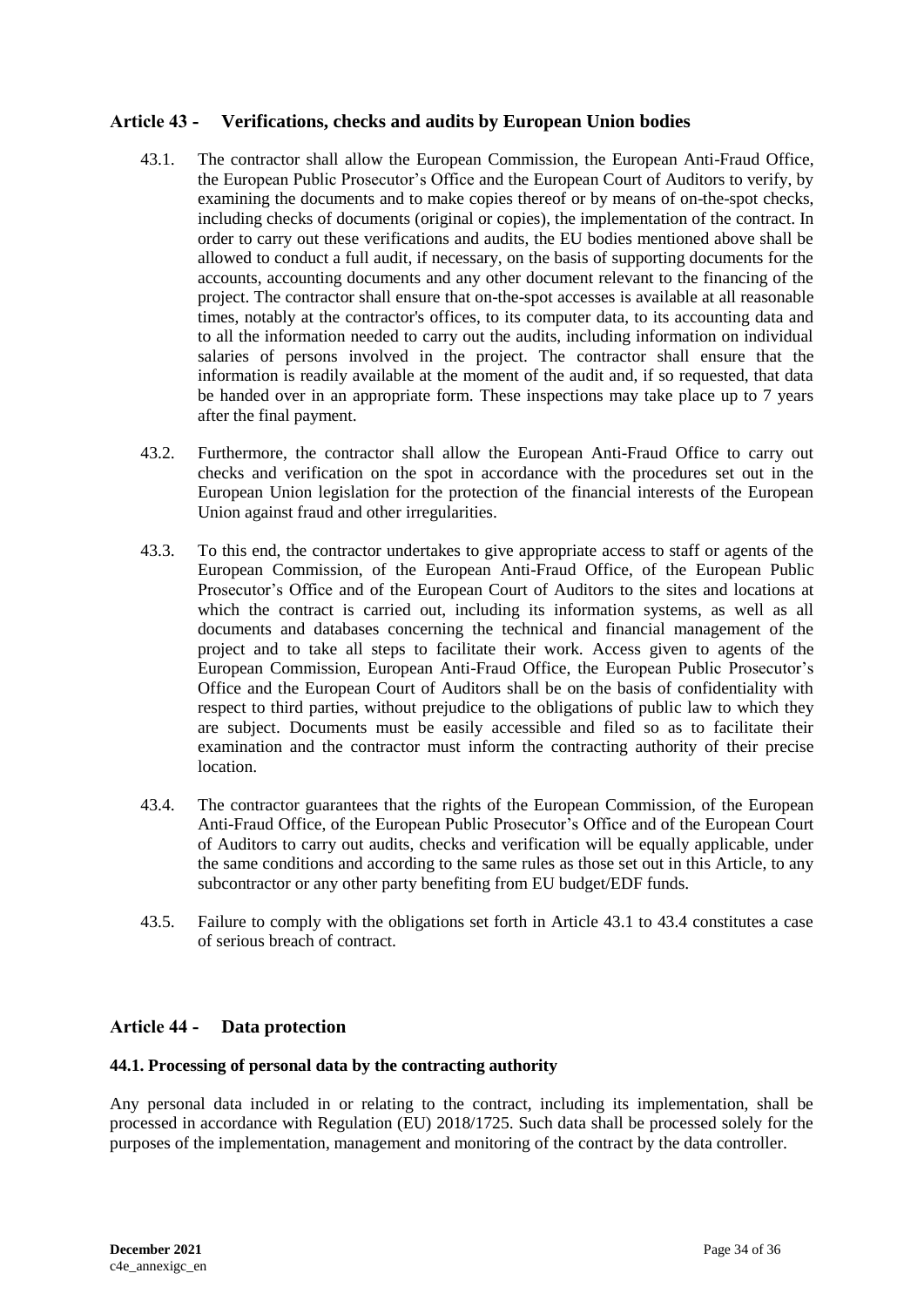# <span id="page-33-0"></span>**Article 43 - Verifications, checks and audits by European Union bodies**

- 43.1. The contractor shall allow the European Commission, the European Anti-Fraud Office, the European Public Prosecutor's Office and the European Court of Auditors to verify, by examining the documents and to make copies thereof or by means of on-the-spot checks, including checks of documents (original or copies), the implementation of the contract. In order to carry out these verifications and audits, the EU bodies mentioned above shall be allowed to conduct a full audit, if necessary, on the basis of supporting documents for the accounts, accounting documents and any other document relevant to the financing of the project. The contractor shall ensure that on-the-spot accesses is available at all reasonable times, notably at the contractor's offices, to its computer data, to its accounting data and to all the information needed to carry out the audits, including information on individual salaries of persons involved in the project. The contractor shall ensure that the information is readily available at the moment of the audit and, if so requested, that data be handed over in an appropriate form. These inspections may take place up to 7 years after the final payment.
- 43.2. Furthermore, the contractor shall allow the European Anti-Fraud Office to carry out checks and verification on the spot in accordance with the procedures set out in the European Union legislation for the protection of the financial interests of the European Union against fraud and other irregularities.
- 43.3. To this end, the contractor undertakes to give appropriate access to staff or agents of the European Commission, of the European Anti-Fraud Office, of the European Public Prosecutor's Office and of the European Court of Auditors to the sites and locations at which the contract is carried out, including its information systems, as well as all documents and databases concerning the technical and financial management of the project and to take all steps to facilitate their work. Access given to agents of the European Commission, European Anti-Fraud Office, the European Public Prosecutor's Office and the European Court of Auditors shall be on the basis of confidentiality with respect to third parties, without prejudice to the obligations of public law to which they are subject. Documents must be easily accessible and filed so as to facilitate their examination and the contractor must inform the contracting authority of their precise location.
- 43.4. The contractor guarantees that the rights of the European Commission, of the European Anti-Fraud Office, of the European Public Prosecutor's Office and of the European Court of Auditors to carry out audits, checks and verification will be equally applicable, under the same conditions and according to the same rules as those set out in this Article, to any subcontractor or any other party benefiting from EU budget/EDF funds.
- 43.5. Failure to comply with the obligations set forth in Article 43.1 to 43.4 constitutes a case of serious breach of contract.

# <span id="page-33-1"></span>**Article 44 - Data protection**

#### **44.1. Processing of personal data by the contracting authority**

Any personal data included in or relating to the contract, including its implementation, shall be processed in accordance with Regulation (EU) 2018/1725. Such data shall be processed solely for the purposes of the implementation, management and monitoring of the contract by the data controller.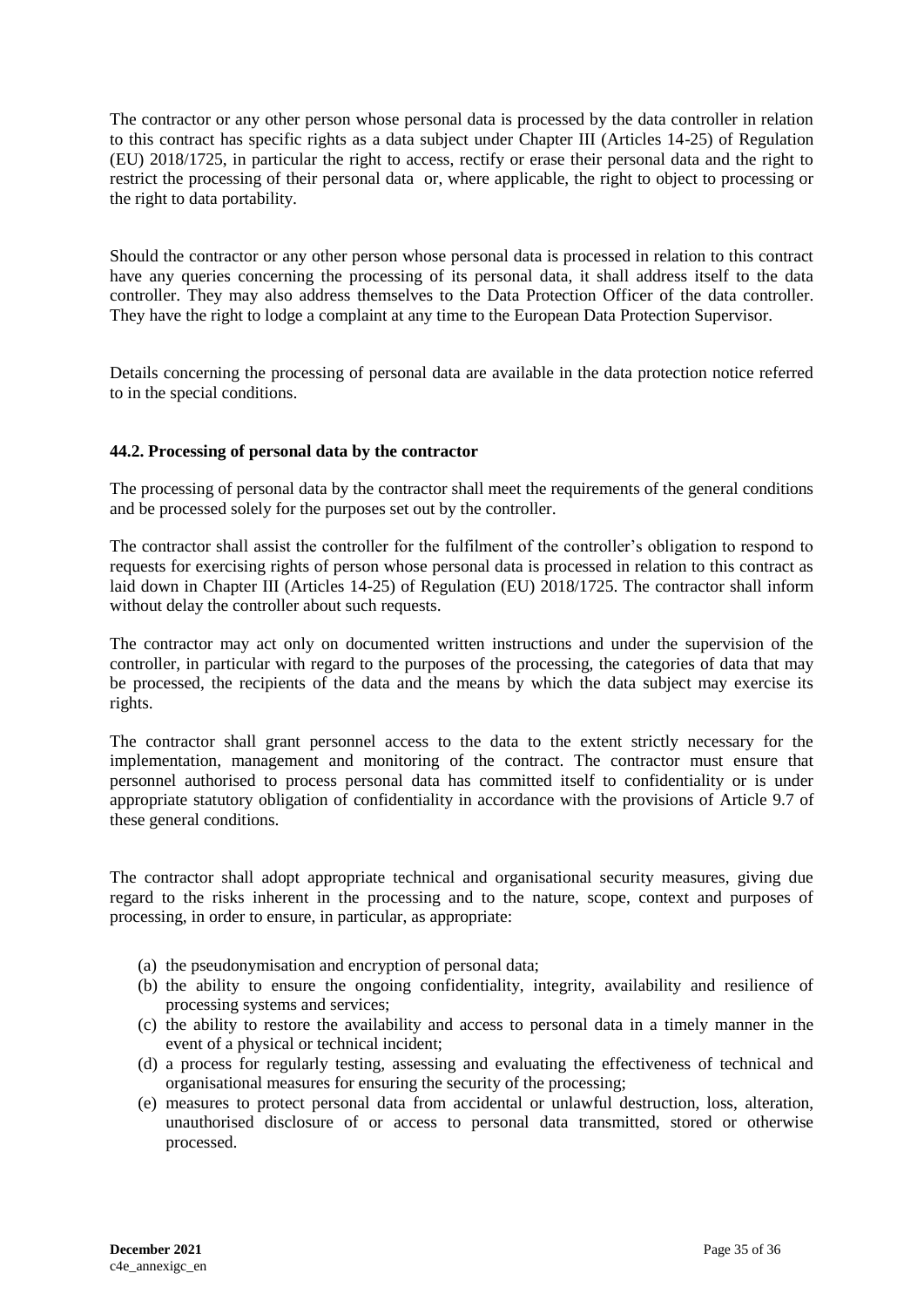The contractor or any other person whose personal data is processed by the data controller in relation to this contract has specific rights as a data subject under Chapter III (Articles 14-25) of Regulation (EU) 2018/1725, in particular the right to access, rectify or erase their personal data and the right to restrict the processing of their personal data or, where applicable, the right to object to processing or the right to data portability.

Should the contractor or any other person whose personal data is processed in relation to this contract have any queries concerning the processing of its personal data, it shall address itself to the data controller. They may also address themselves to the Data Protection Officer of the data controller. They have the right to lodge a complaint at any time to the European Data Protection Supervisor.

Details concerning the processing of personal data are available in the data protection notice referred to in the special conditions.

#### **44.2. Processing of personal data by the contractor**

The processing of personal data by the contractor shall meet the requirements of the general conditions and be processed solely for the purposes set out by the controller.

The contractor shall assist the controller for the fulfilment of the controller's obligation to respond to requests for exercising rights of person whose personal data is processed in relation to this contract as laid down in Chapter III (Articles 14-25) of Regulation (EU) 2018/1725. The contractor shall inform without delay the controller about such requests.

The contractor may act only on documented written instructions and under the supervision of the controller, in particular with regard to the purposes of the processing, the categories of data that may be processed, the recipients of the data and the means by which the data subject may exercise its rights.

The contractor shall grant personnel access to the data to the extent strictly necessary for the implementation, management and monitoring of the contract. The contractor must ensure that personnel authorised to process personal data has committed itself to confidentiality or is under appropriate statutory obligation of confidentiality in accordance with the provisions of Article 9.7 of these general conditions.

The contractor shall adopt appropriate technical and organisational security measures, giving due regard to the risks inherent in the processing and to the nature, scope, context and purposes of processing, in order to ensure, in particular, as appropriate:

- (a) the pseudonymisation and encryption of personal data;
- (b) the ability to ensure the ongoing confidentiality, integrity, availability and resilience of processing systems and services;
- (c) the ability to restore the availability and access to personal data in a timely manner in the event of a physical or technical incident;
- (d) a process for regularly testing, assessing and evaluating the effectiveness of technical and organisational measures for ensuring the security of the processing;
- (e) measures to protect personal data from accidental or unlawful destruction, loss, alteration, unauthorised disclosure of or access to personal data transmitted, stored or otherwise processed.